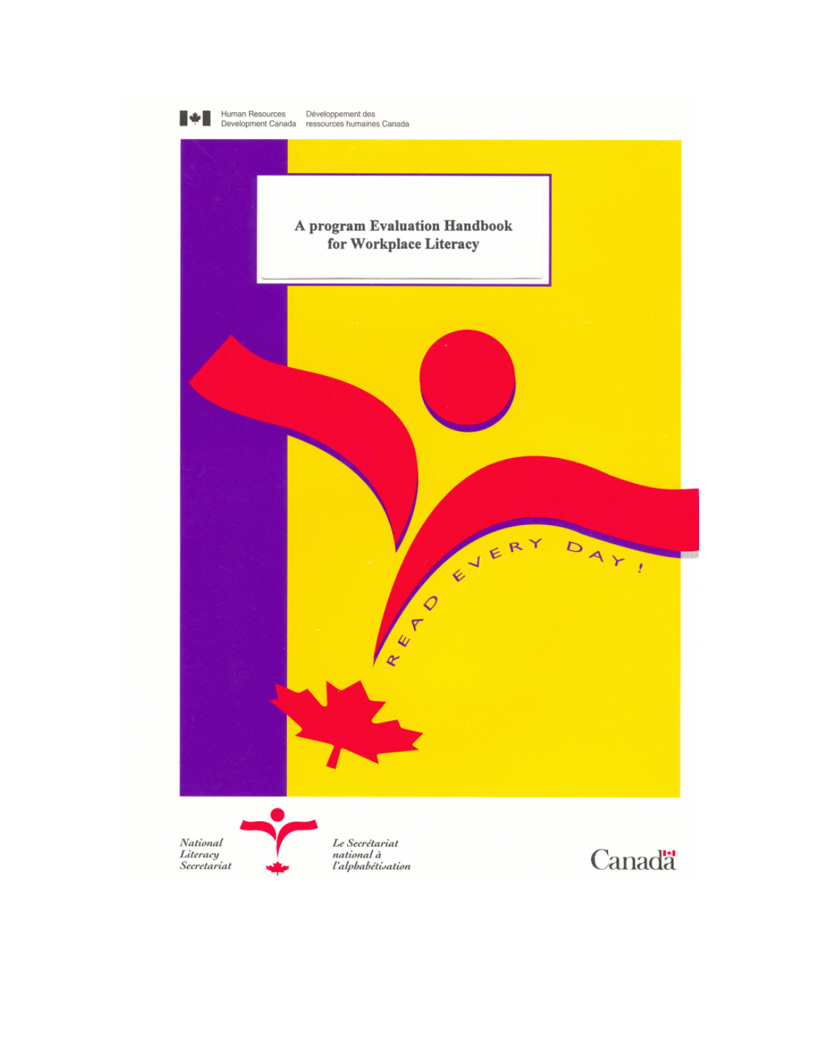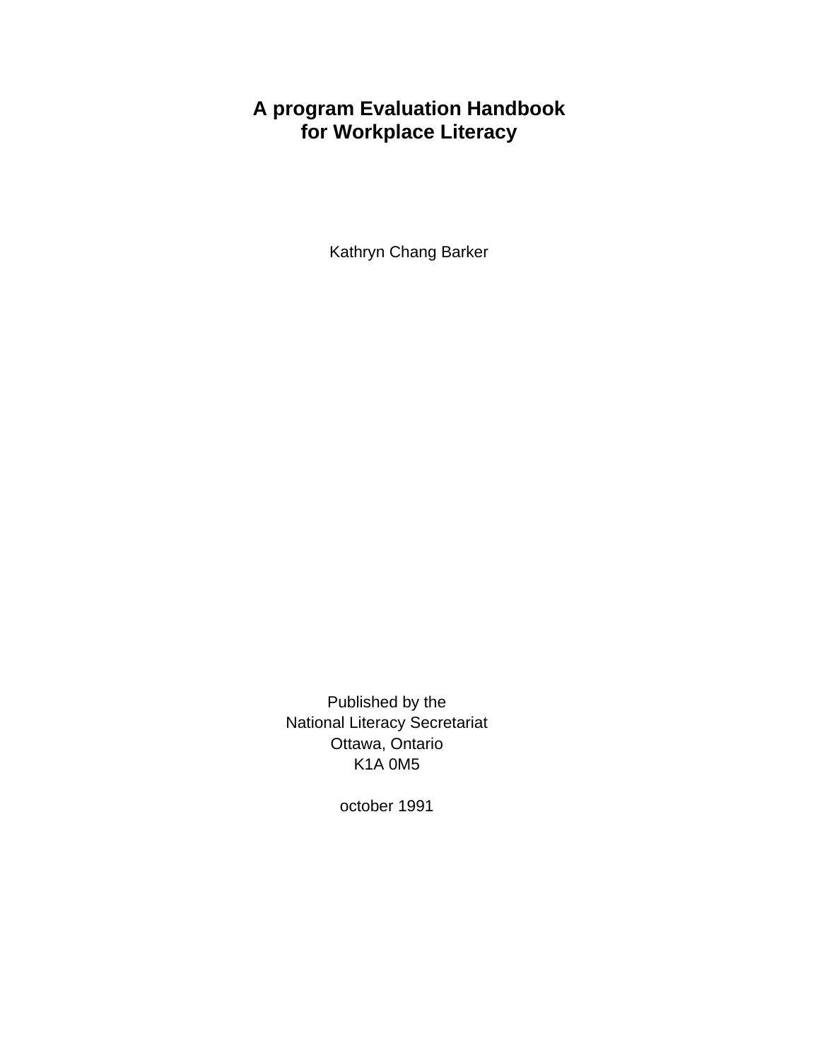## **A program Evaluation Handbook for Workplace Literacy**

Kathryn Chang Barker

Published by the National Literacy Secretariat Ottawa, Ontario K1A 0M5

october 1991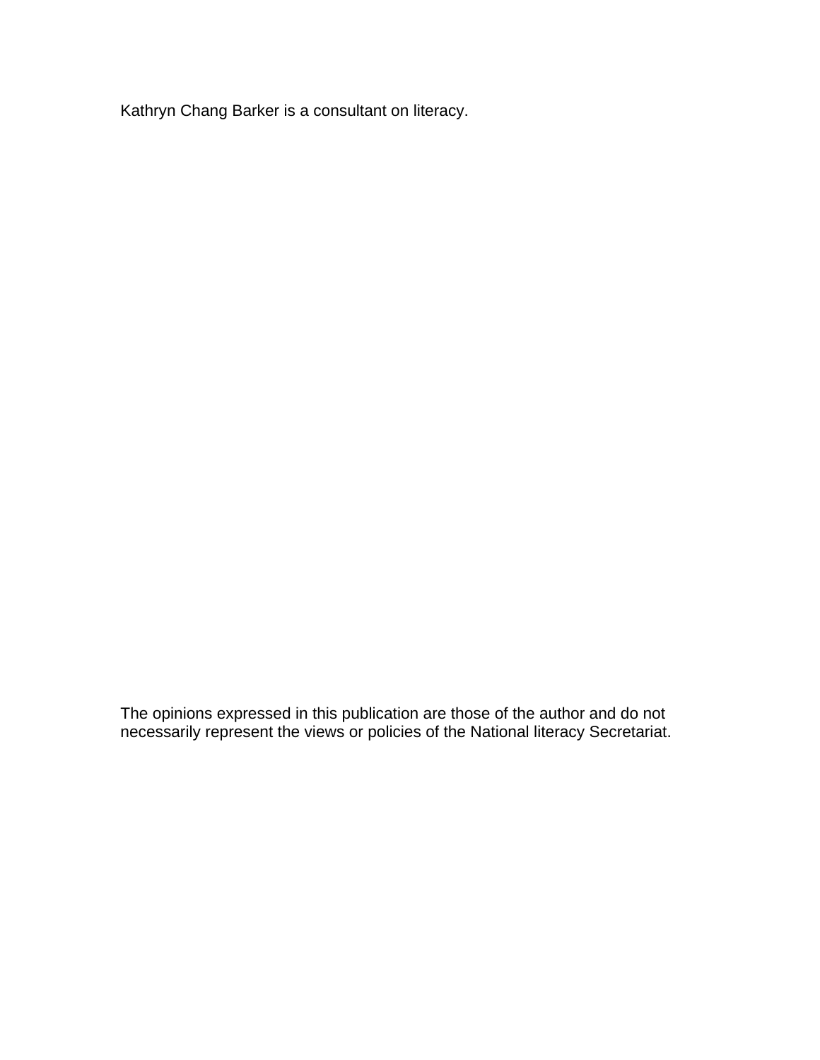Kathryn Chang Barker is a consultant on literacy.

The opinions expressed in this publication are those of the author and do not necessarily represent the views or policies of the National literacy Secretariat.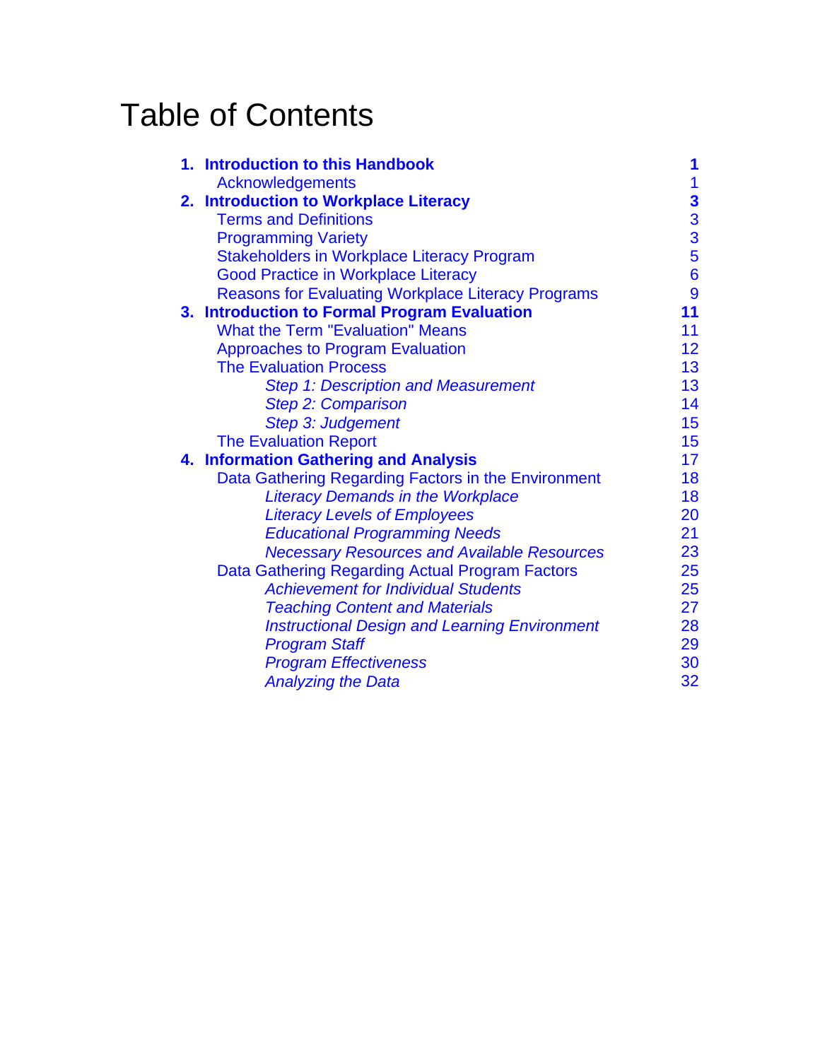# Table of Contents

| $\mathbf{1}$<br>$\frac{3}{3}$<br>5<br>6<br>9<br>11 |
|----------------------------------------------------|
|                                                    |
|                                                    |
|                                                    |
|                                                    |
|                                                    |
|                                                    |
|                                                    |
|                                                    |
| 11                                                 |
| 12                                                 |
| 13                                                 |
| 13                                                 |
| 14                                                 |
| 15                                                 |
| 15                                                 |
| 17                                                 |
| 18                                                 |
| 18                                                 |
| 20                                                 |
| 21                                                 |
| 23                                                 |
| 25                                                 |
| 25                                                 |
| 27                                                 |
| 28                                                 |
| 29                                                 |
| 30                                                 |
| 32                                                 |
|                                                    |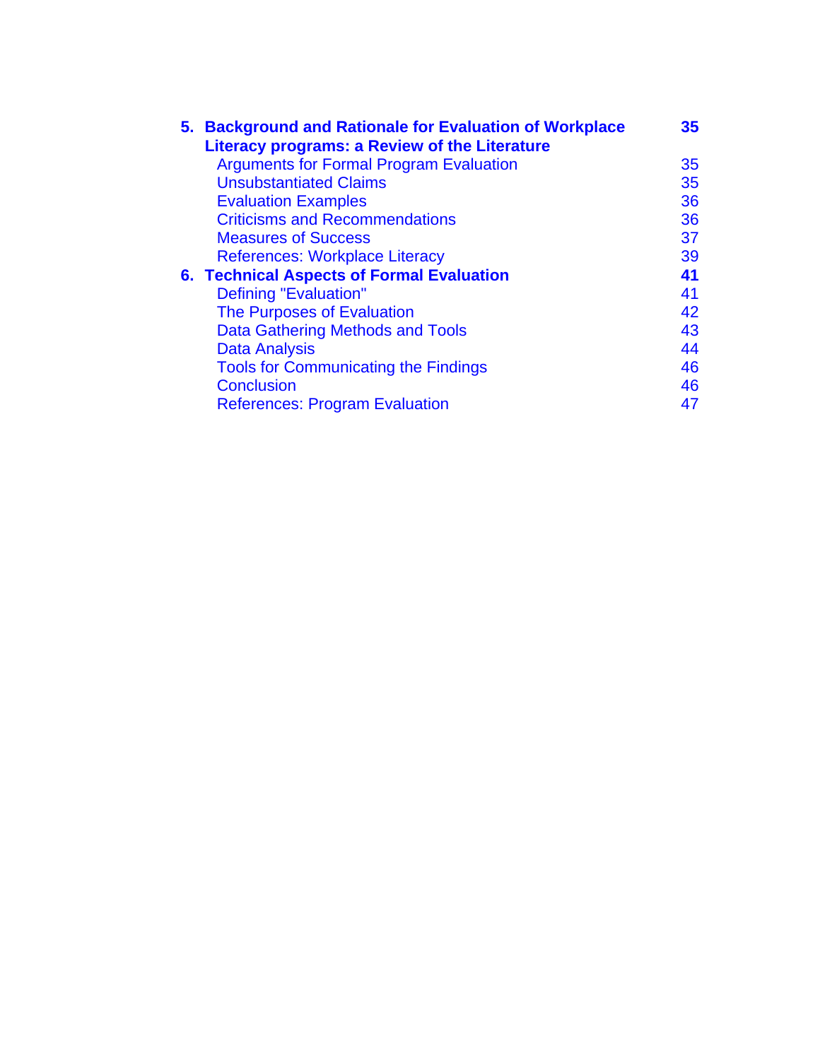|  | 5. Background and Rationale for Evaluation of Workplace<br>Literacy programs: a Review of the Literature | 35 <sub>2</sub> |
|--|----------------------------------------------------------------------------------------------------------|-----------------|
|  | <b>Arguments for Formal Program Evaluation</b>                                                           | 35              |
|  | <b>Unsubstantiated Claims</b>                                                                            | 35              |
|  | <b>Evaluation Examples</b>                                                                               | 36              |
|  | <b>Criticisms and Recommendations</b>                                                                    | 36              |
|  | <b>Measures of Success</b>                                                                               | 37              |
|  | <b>References: Workplace Literacy</b>                                                                    | 39              |
|  | 6. Technical Aspects of Formal Evaluation                                                                | 41              |
|  | Defining "Evaluation"                                                                                    | 41              |
|  | The Purposes of Evaluation                                                                               | 42              |
|  | <b>Data Gathering Methods and Tools</b>                                                                  | 43              |
|  | <b>Data Analysis</b>                                                                                     | 44              |
|  | <b>Tools for Communicating the Findings</b>                                                              | 46              |
|  | <b>Conclusion</b>                                                                                        | 46              |
|  | <b>References: Program Evaluation</b>                                                                    | 47              |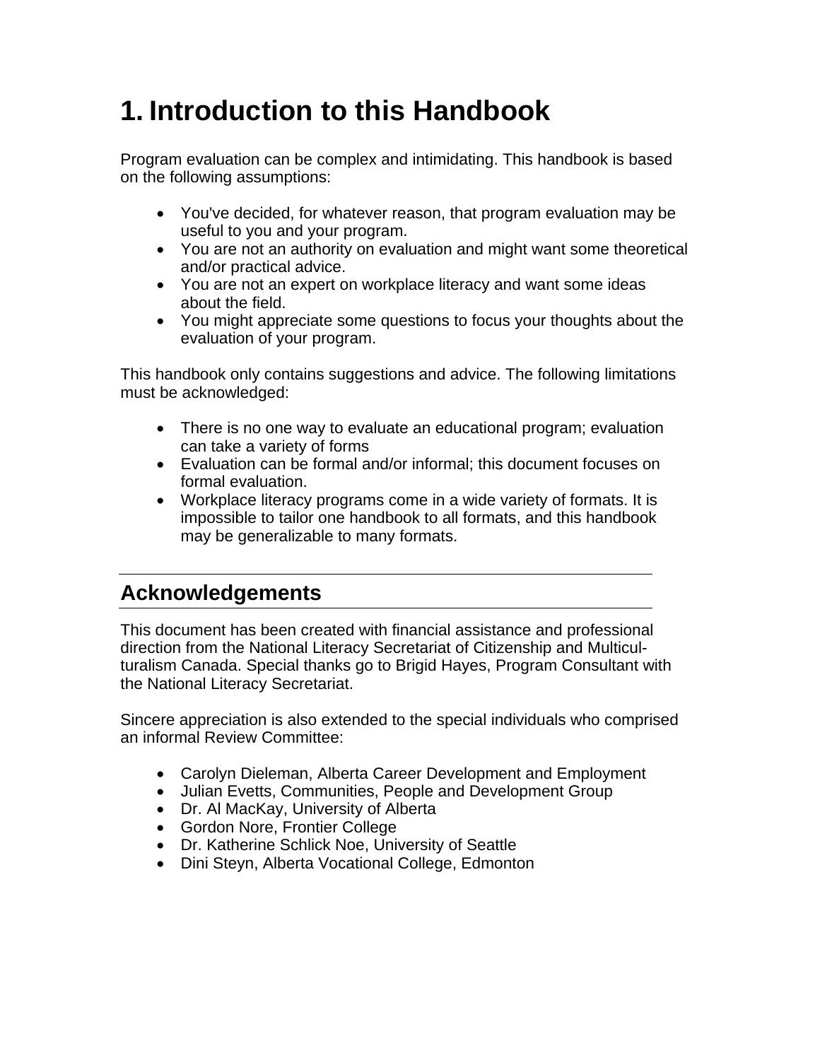# <span id="page-5-0"></span>**1. Introduction to this Handbook**

Program evaluation can be complex and intimidating. This handbook is based on the following assumptions:

- You've decided, for whatever reason, that program evaluation may be useful to you and your program.
- You are not an authority on evaluation and might want some theoretical and/or practical advice.
- You are not an expert on workplace literacy and want some ideas about the field.
- You might appreciate some questions to focus your thoughts about the evaluation of your program.

This handbook only contains suggestions and advice. The following limitations must be acknowledged:

- There is no one way to evaluate an educational program; evaluation can take a variety of forms
- Evaluation can be formal and/or informal; this document focuses on formal evaluation.
- Workplace literacy programs come in a wide variety of formats. It is impossible to tailor one handbook to all formats, and this handbook may be generalizable to many formats.

# **Acknowledgements**

This document has been created with financial assistance and professional direction from the National Literacy Secretariat of Citizenship and Multiculturalism Canada. Special thanks go to Brigid Hayes, Program Consultant with the National Literacy Secretariat.

Sincere appreciation is also extended to the special individuals who comprised an informal Review Committee:

- Carolyn Dieleman, Alberta Career Development and Employment
- Julian Evetts, Communities, People and Development Group
- Dr. Al MacKay, University of Alberta
- Gordon Nore, Frontier College
- Dr. Katherine Schlick Noe, University of Seattle
- Dini Steyn, Alberta Vocational College, Edmonton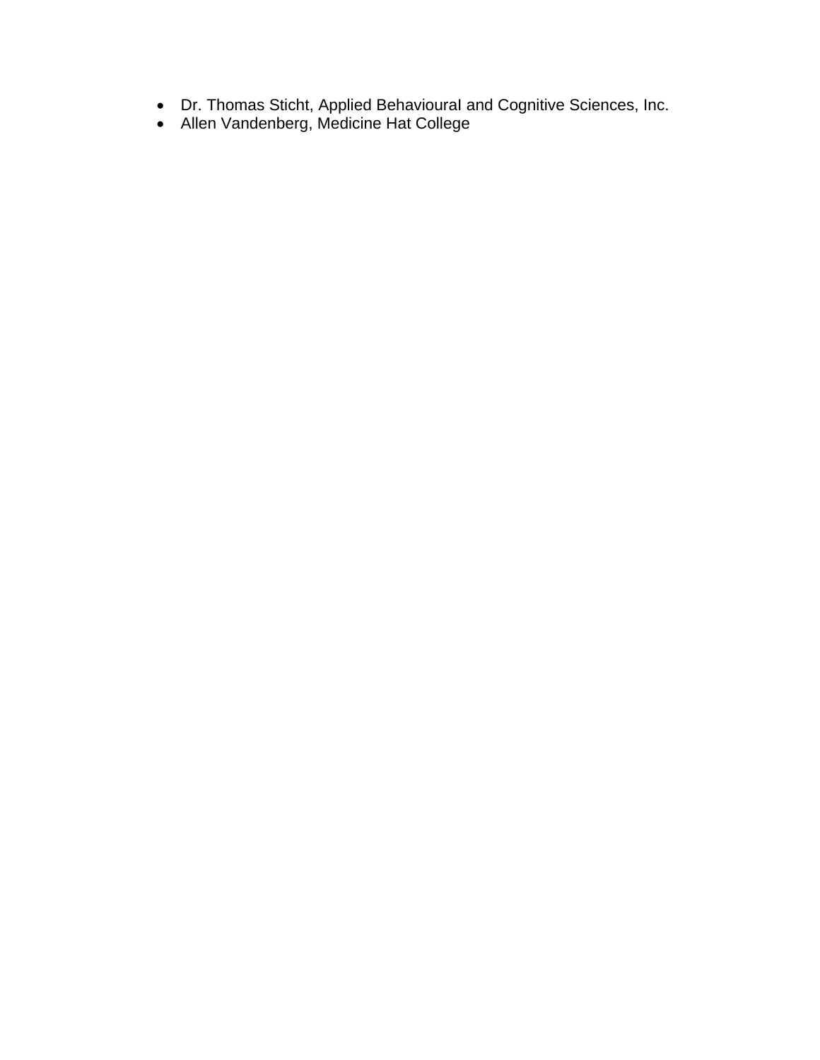- Dr. Thomas Sticht, Applied BehaviouraI and Cognitive Sciences, Inc.
- Allen Vandenberg, Medicine Hat College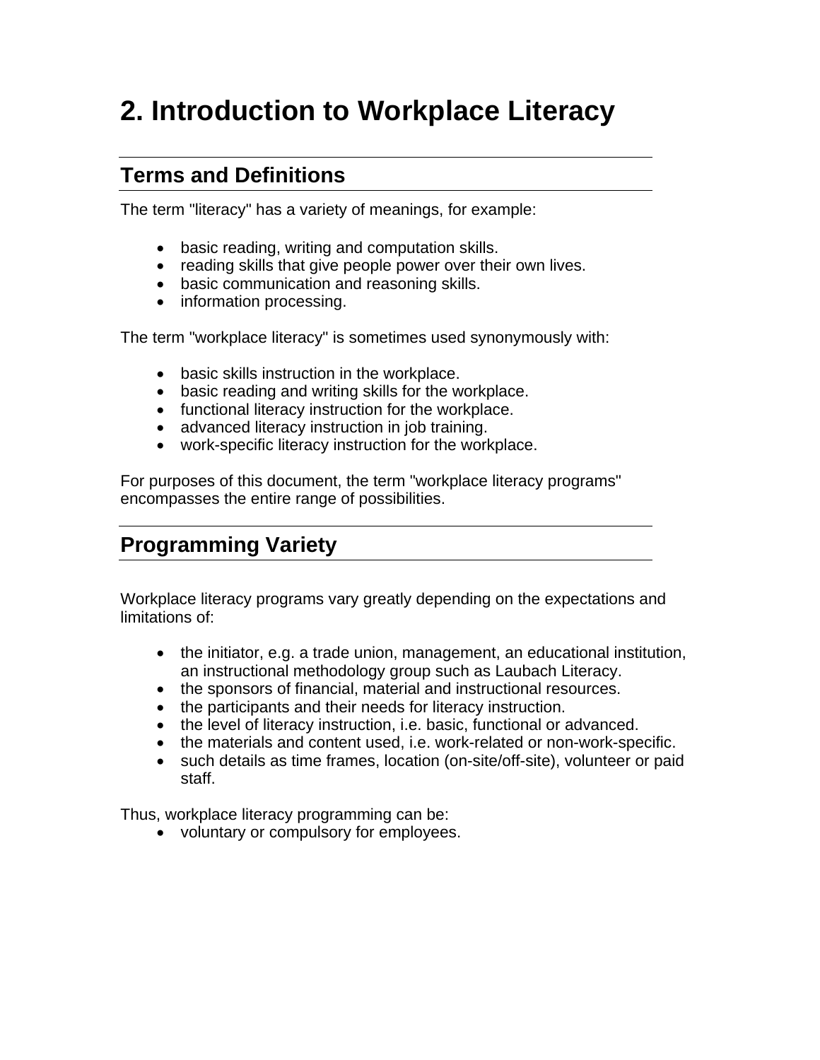# <span id="page-7-0"></span>**2. Introduction to Workplace Literacy**

### **Terms and Definitions**

The term "literacy" has a variety of meanings, for example:

- basic reading, writing and computation skills.
- reading skills that give people power over their own lives.
- basic communication and reasoning skills.
- information processing.

The term "workplace literacy" is sometimes used synonymously with:

- basic skills instruction in the workplace.
- basic reading and writing skills for the workplace.
- functional literacy instruction for the workplace.
- advanced literacy instruction in job training.
- work-specific literacy instruction for the workplace.

For purposes of this document, the term "workplace literacy programs" encompasses the entire range of possibilities.

# **Programming Variety**

Workplace literacy programs vary greatly depending on the expectations and limitations of:

- the initiator, e.g. a trade union, management, an educational institution, an instructional methodology group such as Laubach Literacy.
- the sponsors of financial, material and instructional resources.
- the participants and their needs for literacy instruction.
- the level of literacy instruction, i.e. basic, functional or advanced.
- the materials and content used, i.e. work-related or non-work-specific.
- such details as time frames, location (on-site/off-site), volunteer or paid staff.

Thus, workplace literacy programming can be:

• voluntary or compulsory for employees.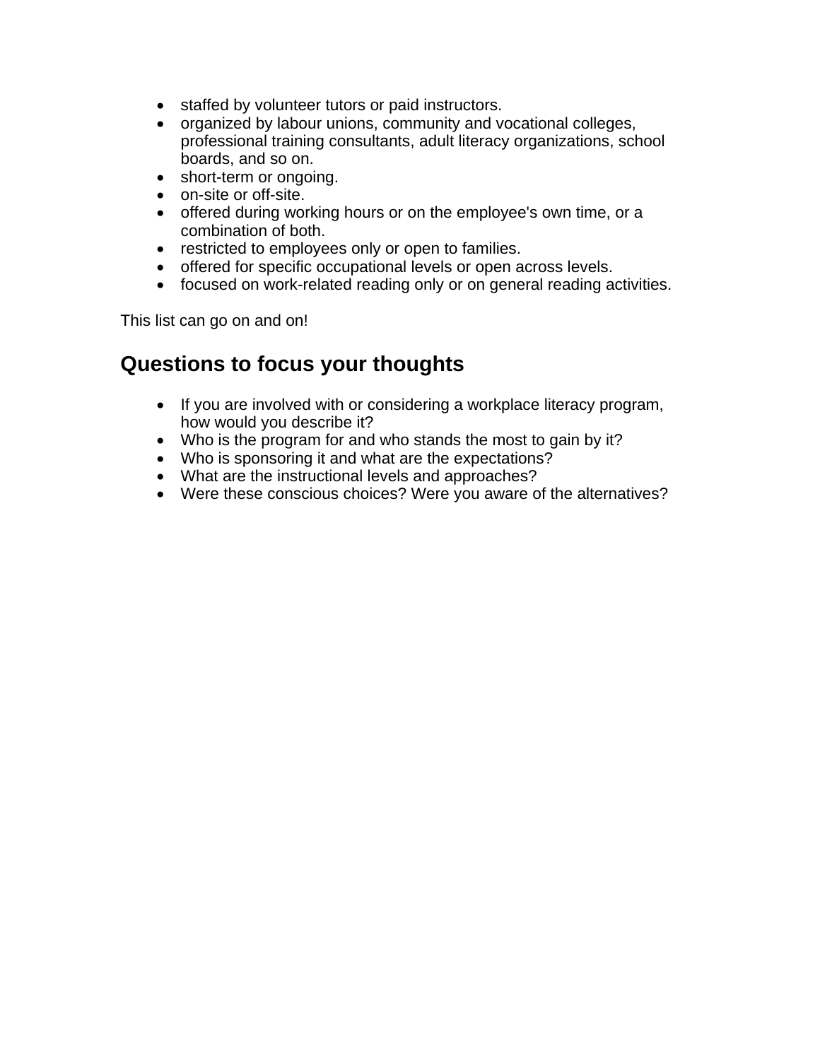- staffed by volunteer tutors or paid instructors.
- organized by labour unions, community and vocational colleges, professional training consultants, adult literacy organizations, school boards, and so on.
- short-term or ongoing.
- on-site or off-site.
- offered during working hours or on the employee's own time, or a combination of both.
- restricted to employees only or open to families.
- offered for specific occupational levels or open across levels.
- focused on work-related reading only or on general reading activities.

This list can go on and on!

## **Questions to focus your thoughts**

- If you are involved with or considering a workplace literacy program, how would you describe it?
- Who is the program for and who stands the most to gain by it?
- Who is sponsoring it and what are the expectations?
- What are the instructional levels and approaches?
- Were these conscious choices? Were you aware of the alternatives?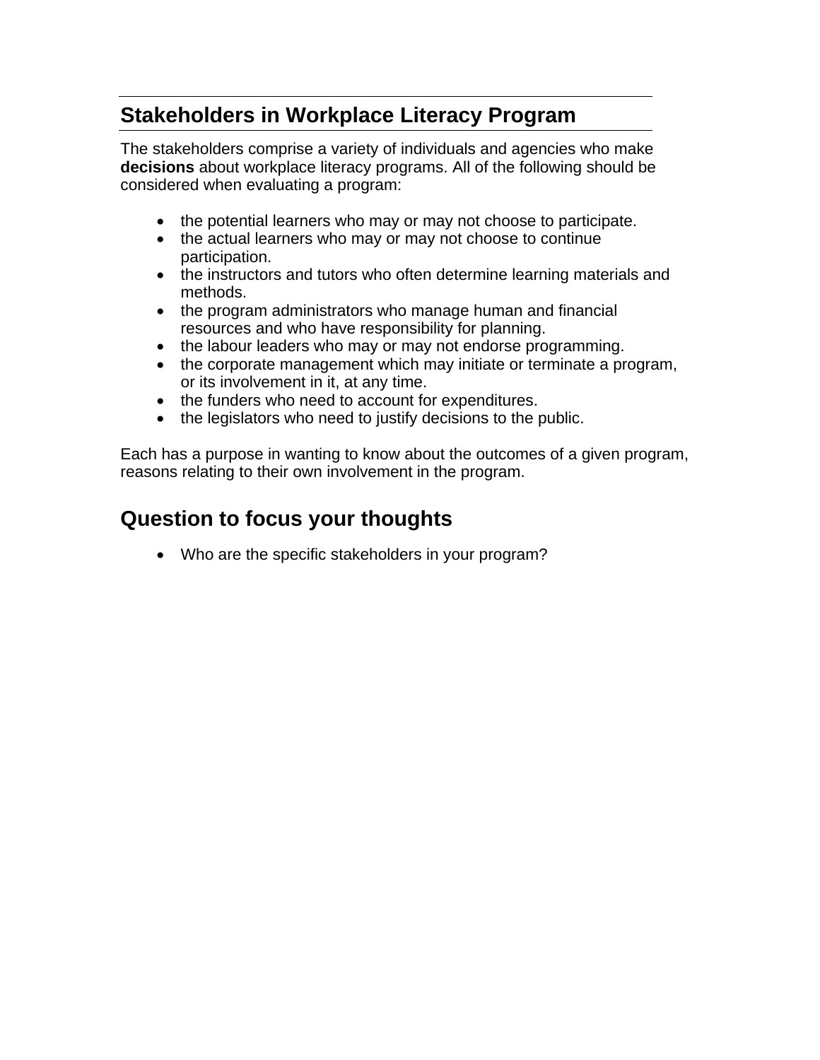# <span id="page-9-0"></span>**Stakeholders in Workplace Literacy Program**

The stakeholders comprise a variety of individuals and agencies who make **decisions** about workplace literacy programs. All of the following should be considered when evaluating a program:

- the potential learners who may or may not choose to participate.
- the actual learners who may or may not choose to continue participation.
- the instructors and tutors who often determine learning materials and methods.
- the program administrators who manage human and financial resources and who have responsibility for planning.
- the labour leaders who may or may not endorse programming.
- the corporate management which may initiate or terminate a program, or its involvement in it, at any time.
- the funders who need to account for expenditures.
- the legislators who need to justify decisions to the public.

Each has a purpose in wanting to know about the outcomes of a given program, reasons relating to their own involvement in the program.

## **Question to focus your thoughts**

• Who are the specific stakeholders in your program?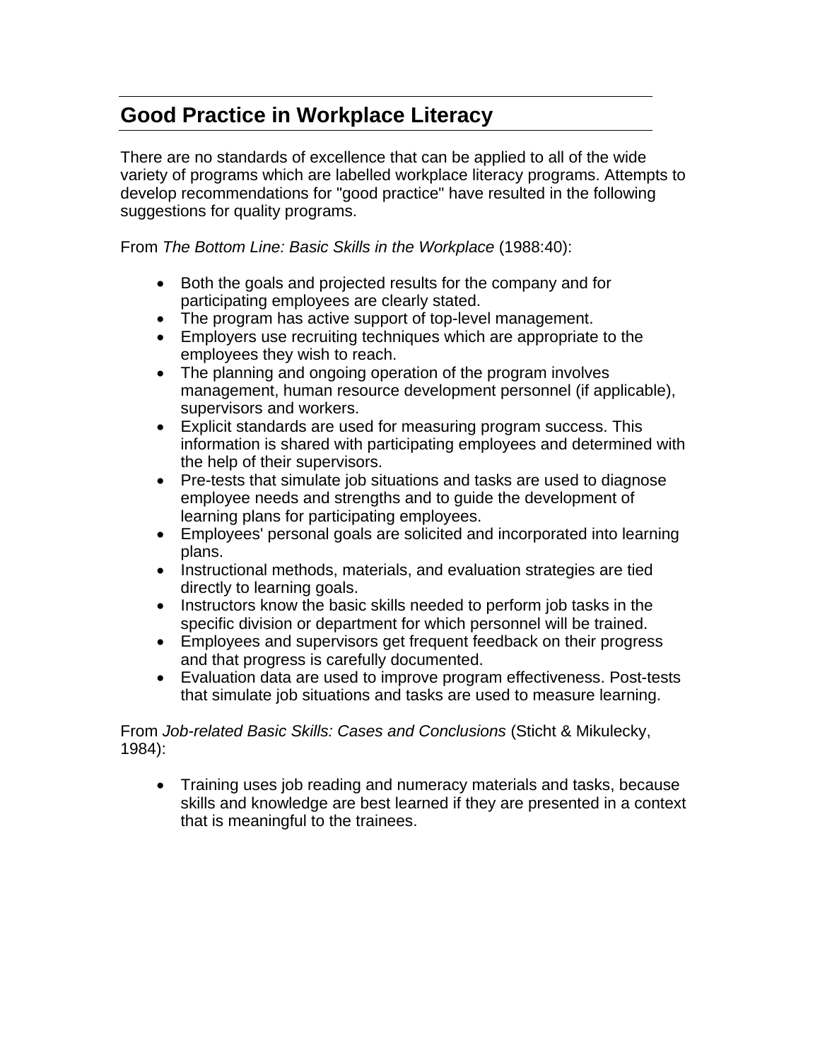# <span id="page-10-0"></span>**Good Practice in Workplace Literacy**

There are no standards of excellence that can be applied to all of the wide variety of programs which are labelled workplace literacy programs. Attempts to develop recommendations for "good practice" have resulted in the following suggestions for quality programs.

From *The Bottom Line: Basic Skills in the Workplace* (1988:40):

- Both the goals and projected results for the company and for participating employees are clearly stated.
- The program has active support of top-level management.
- Employers use recruiting techniques which are appropriate to the employees they wish to reach.
- The planning and ongoing operation of the program involves management, human resource development personnel (if applicable), supervisors and workers.
- Explicit standards are used for measuring program success. This information is shared with participating employees and determined with the help of their supervisors.
- Pre-tests that simulate job situations and tasks are used to diagnose employee needs and strengths and to guide the development of learning plans for participating employees.
- Employees' personal goals are solicited and incorporated into learning plans.
- Instructional methods, materials, and evaluation strategies are tied directly to learning goals.
- Instructors know the basic skills needed to perform job tasks in the specific division or department for which personnel will be trained.
- Employees and supervisors get frequent feedback on their progress and that progress is carefully documented.
- Evaluation data are used to improve program effectiveness. Post-tests that simulate job situations and tasks are used to measure learning.

From *Job-related Basic Skills: Cases and Conclusions* (Sticht & Mikulecky, 1984):

• Training uses job reading and numeracy materials and tasks, because skills and knowledge are best learned if they are presented in a context that is meaningful to the trainees.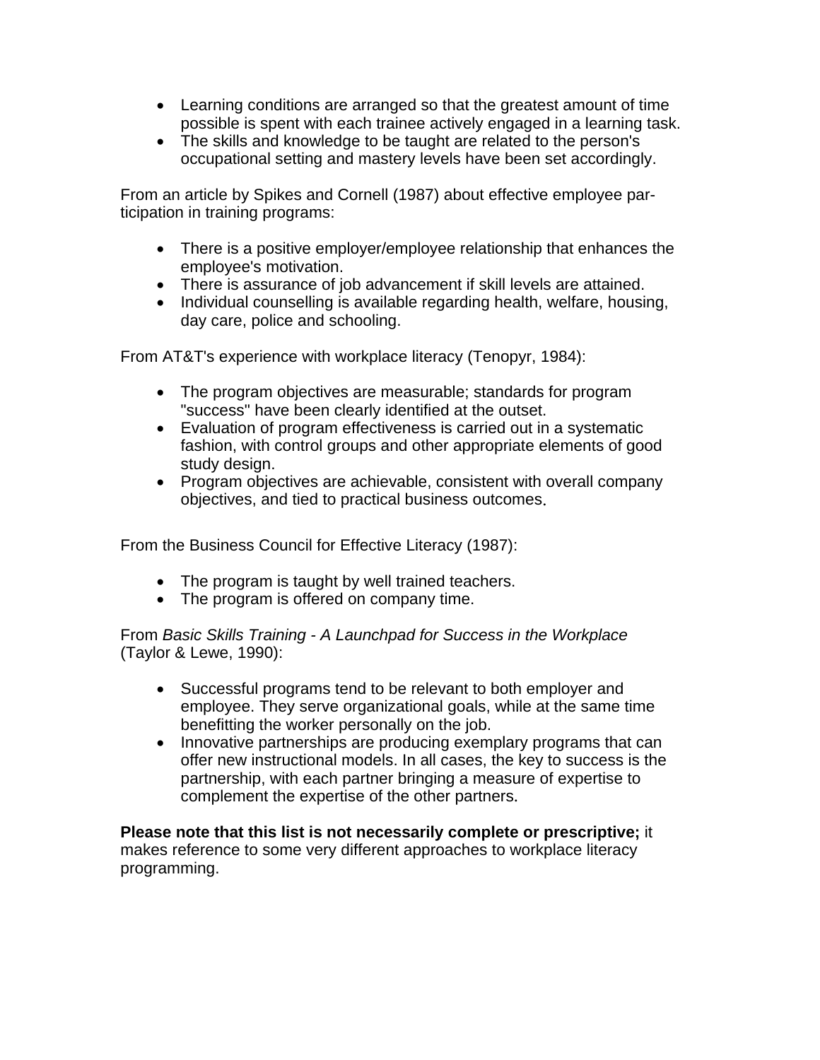- Learning conditions are arranged so that the greatest amount of time possible is spent with each trainee actively engaged in a learning task.
- The skills and knowledge to be taught are related to the person's occupational setting and mastery levels have been set accordingly.

From an article by Spikes and Cornell (1987) about effective employee participation in training programs:

- There is a positive employer/employee relationship that enhances the employee's motivation.
- There is assurance of job advancement if skill levels are attained.
- Individual counselling is available regarding health, welfare, housing, day care, police and schooling.

From AT&T's experience with workplace literacy (Tenopyr, 1984):

- The program objectives are measurable; standards for program "success" have been clearly identified at the outset.
- Evaluation of program effectiveness is carried out in a systematic fashion, with control groups and other appropriate elements of good study design.
- Program objectives are achievable, consistent with overall company objectives, and tied to practical business outcomes.

From the Business Council for Effective Literacy (1987):

- The program is taught by well trained teachers.
- The program is offered on company time.

From *Basic Skills Training - A Launchpad for Success in the Workplace* (Taylor & Lewe, 1990):

- Successful programs tend to be relevant to both employer and employee. They serve organizational goals, while at the same time benefitting the worker personally on the job.
- Innovative partnerships are producing exemplary programs that can offer new instructional models. In all cases, the key to success is the partnership, with each partner bringing a measure of expertise to complement the expertise of the other partners.

**Please note that this list is not necessarily complete or prescriptive;** it makes reference to some very different approaches to workplace literacy programming.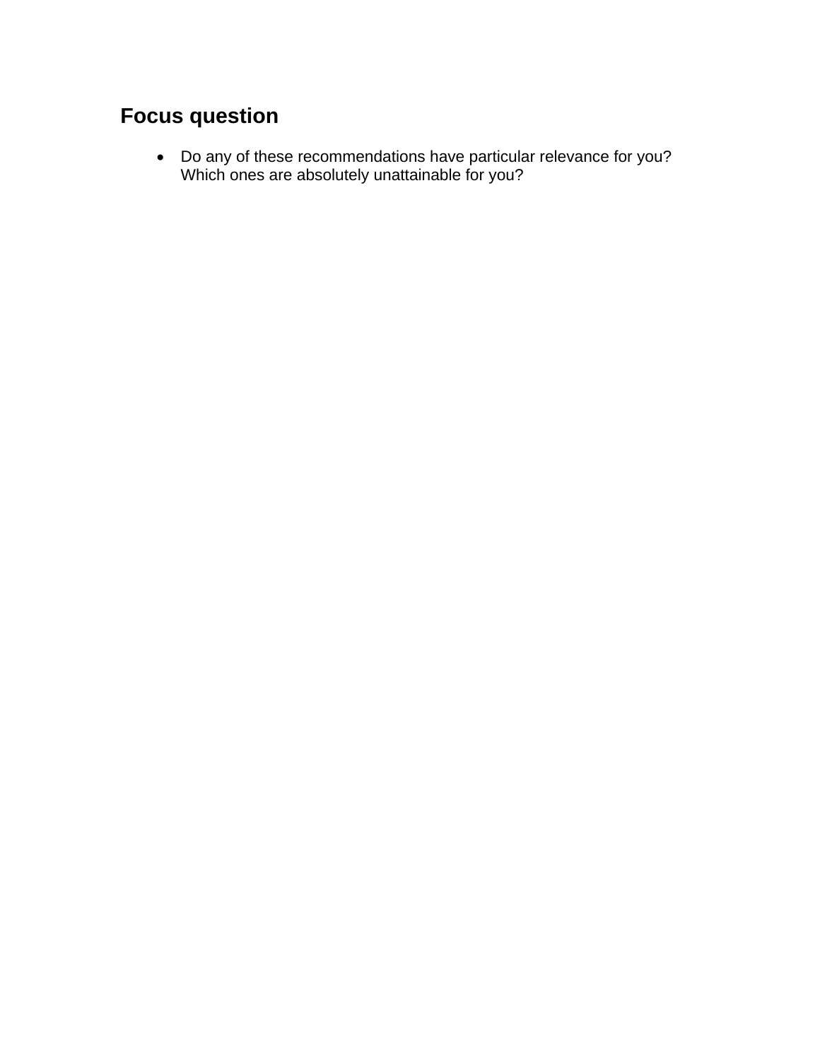# **Focus question**

• Do any of these recommendations have particular relevance for you? Which ones are absolutely unattainable for you?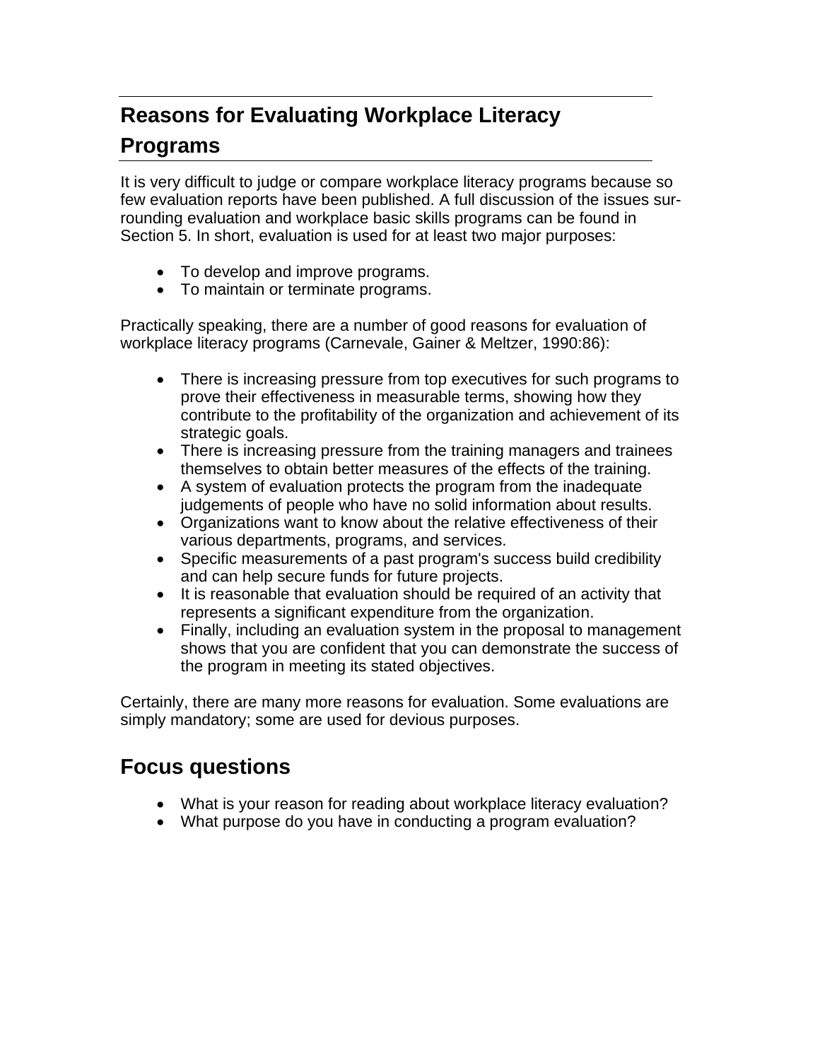# <span id="page-13-0"></span>**Reasons for Evaluating Workplace Literacy Programs**

It is very difficult to judge or compare workplace literacy programs because so few evaluation reports have been published. A full discussion of the issues surrounding evaluation and workplace basic skills programs can be found in Section 5. In short, evaluation is used for at least two major purposes:

- To develop and improve programs.
- To maintain or terminate programs.

Practically speaking, there are a number of good reasons for evaluation of workplace literacy programs (Carnevale, Gainer & Meltzer, 1990:86):

- There is increasing pressure from top executives for such programs to prove their effectiveness in measurable terms, showing how they contribute to the profitability of the organization and achievement of its strategic goals.
- There is increasing pressure from the training managers and trainees themselves to obtain better measures of the effects of the training.
- A system of evaluation protects the program from the inadequate judgements of people who have no solid information about results.
- Organizations want to know about the relative effectiveness of their various departments, programs, and services.
- Specific measurements of a past program's success build credibility and can help secure funds for future projects.
- It is reasonable that evaluation should be required of an activity that represents a significant expenditure from the organization.
- Finally, including an evaluation system in the proposal to management shows that you are confident that you can demonstrate the success of the program in meeting its stated objectives.

Certainly, there are many more reasons for evaluation. Some evaluations are simply mandatory; some are used for devious purposes.

## **Focus questions**

- What is your reason for reading about workplace literacy evaluation?
- What purpose do you have in conducting a program evaluation?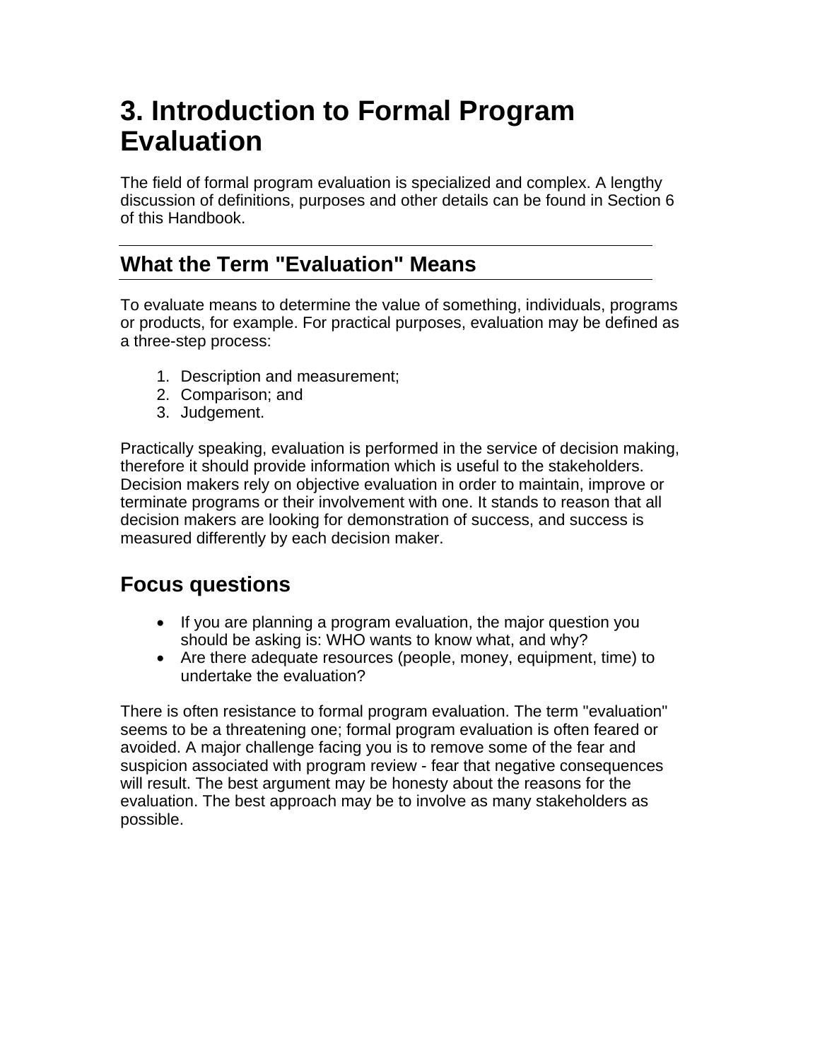# <span id="page-14-0"></span>**3. Introduction to Formal Program Evaluation**

The field of formal program evaluation is specialized and complex. A lengthy discussion of definitions, purposes and other details can be found in Section 6 of this Handbook.

## **What the Term "Evaluation" Means**

To evaluate means to determine the value of something, individuals, programs or products, for example. For practical purposes, evaluation may be defined as a three-step process:

- 1. Description and measurement;
- 2. Comparison; and
- 3. Judgement.

Practically speaking, evaluation is performed in the service of decision making, therefore it should provide information which is useful to the stakeholders. Decision makers rely on objective evaluation in order to maintain, improve or terminate programs or their involvement with one. It stands to reason that all decision makers are looking for demonstration of success, and success is measured differently by each decision maker.

### **Focus questions**

- If you are planning a program evaluation, the major question you should be asking is: WHO wants to know what, and why?
- Are there adequate resources (people, money, equipment, time) to undertake the evaluation?

There is often resistance to formal program evaluation. The term "evaluation" seems to be a threatening one; formal program evaluation is often feared or avoided. A major challenge facing you is to remove some of the fear and suspicion associated with program review - fear that negative consequences will result. The best argument may be honesty about the reasons for the evaluation. The best approach may be to involve as many stakeholders as possible.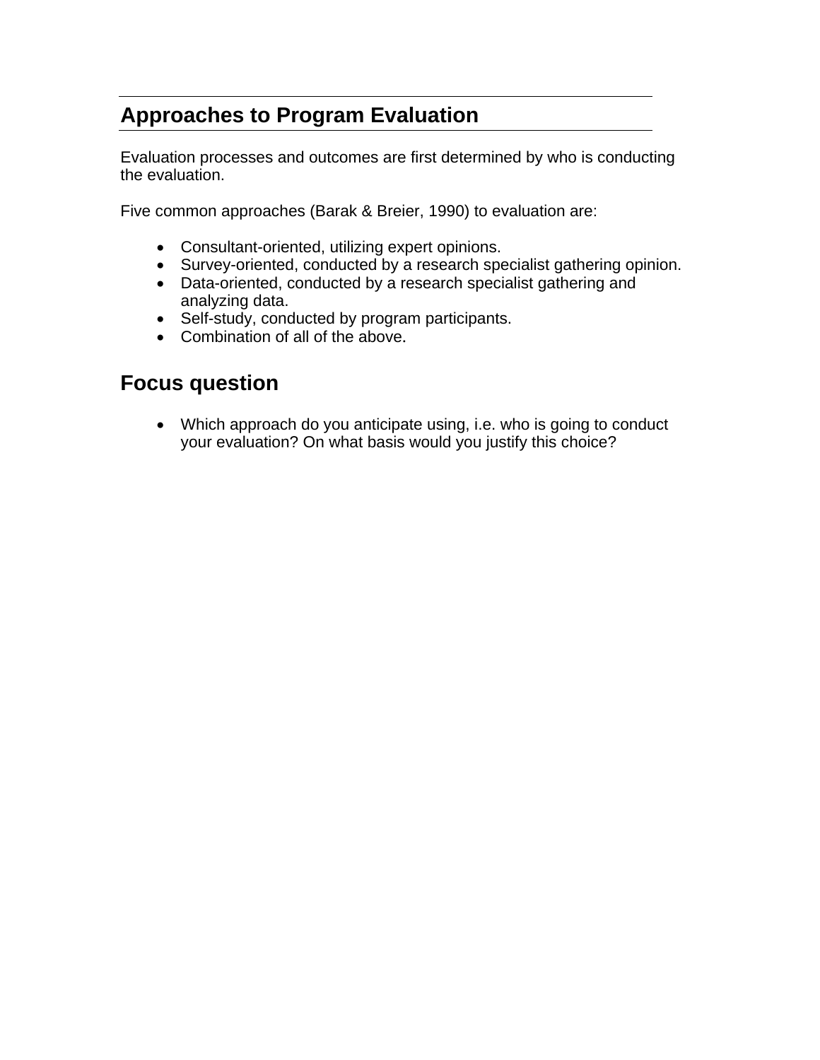# <span id="page-15-0"></span>**Approaches to Program Evaluation**

Evaluation processes and outcomes are first determined by who is conducting the evaluation.

Five common approaches (Barak & Breier, 1990) to evaluation are:

- Consultant-oriented, utilizing expert opinions.
- Survey-oriented, conducted by a research specialist gathering opinion.
- Data-oriented, conducted by a research specialist gathering and analyzing data.
- Self-study, conducted by program participants.
- Combination of all of the above.

### **Focus question**

• Which approach do you anticipate using, i.e. who is going to conduct your evaluation? On what basis would you justify this choice?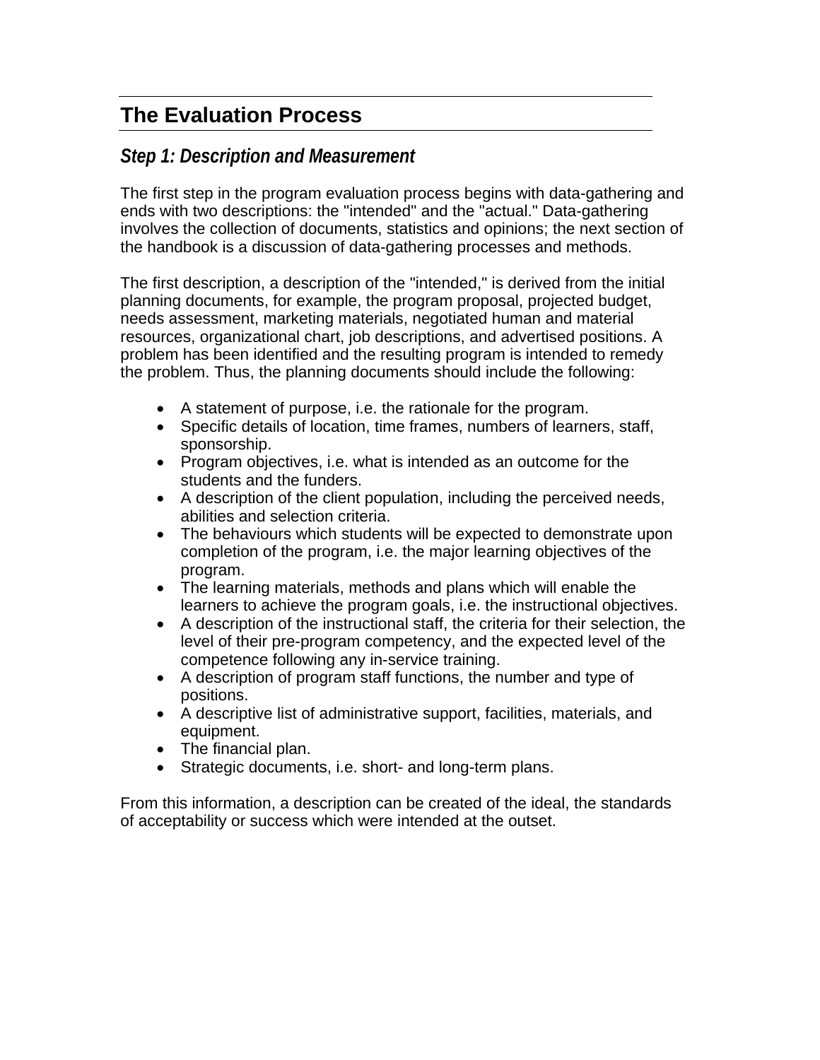# <span id="page-16-0"></span>**The Evaluation Process**

### *Step 1: Description and Measurement*

The first step in the program evaluation process begins with data-gathering and ends with two descriptions: the "intended" and the "actual." Data-gathering involves the collection of documents, statistics and opinions; the next section of the handbook is a discussion of data-gathering processes and methods.

The first description, a description of the "intended," is derived from the initial planning documents, for example, the program proposal, projected budget, needs assessment, marketing materials, negotiated human and material resources, organizational chart, job descriptions, and advertised positions. A problem has been identified and the resulting program is intended to remedy the problem. Thus, the planning documents should include the following:

- A statement of purpose, i.e. the rationale for the program.
- Specific details of location, time frames, numbers of learners, staff, sponsorship.
- Program objectives, i.e. what is intended as an outcome for the students and the funders.
- A description of the client population, including the perceived needs, abilities and selection criteria.
- The behaviours which students will be expected to demonstrate upon completion of the program, i.e. the major learning objectives of the program.
- The learning materials, methods and plans which will enable the learners to achieve the program goals, i.e. the instructional objectives.
- A description of the instructional staff, the criteria for their selection, the level of their pre-program competency, and the expected level of the competence following any in-service training.
- A description of program staff functions, the number and type of positions.
- A descriptive list of administrative support, facilities, materials, and equipment.
- The financial plan.
- Strategic documents, i.e. short- and long-term plans.

From this information, a description can be created of the ideal, the standards of acceptability or success which were intended at the outset.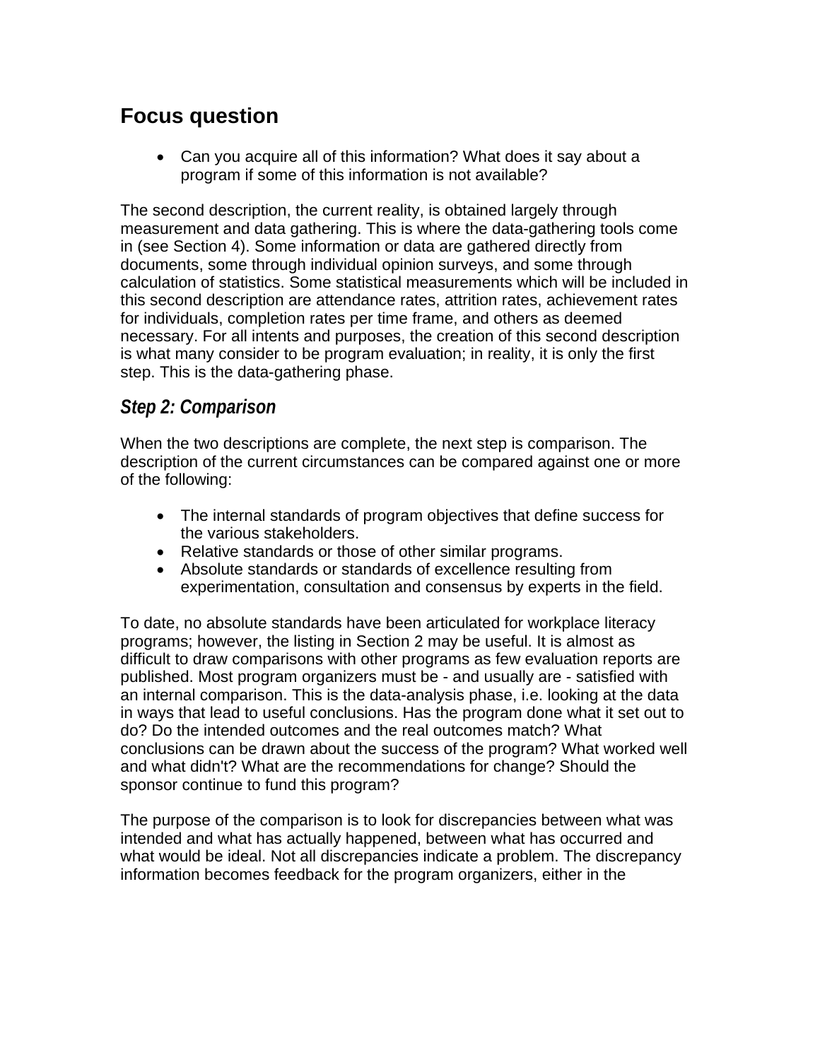# <span id="page-17-0"></span>**Focus question**

• Can you acquire all of this information? What does it say about a program if some of this information is not available?

The second description, the current reality, is obtained largely through measurement and data gathering. This is where the data-gathering tools come in (see Section 4). Some information or data are gathered directly from documents, some through individual opinion surveys, and some through calculation of statistics. Some statistical measurements which will be included in this second description are attendance rates, attrition rates, achievement rates for individuals, completion rates per time frame, and others as deemed necessary. For all intents and purposes, the creation of this second description is what many consider to be program evaluation; in reality, it is only the first step. This is the data-gathering phase.

### *Step 2: Comparison*

When the two descriptions are complete, the next step is comparison. The description of the current circumstances can be compared against one or more of the following:

- The internal standards of program objectives that define success for the various stakeholders.
- Relative standards or those of other similar programs.
- Absolute standards or standards of excellence resulting from experimentation, consultation and consensus by experts in the field.

To date, no absolute standards have been articulated for workplace literacy programs; however, the listing in Section 2 may be useful. It is almost as difficult to draw comparisons with other programs as few evaluation reports are published. Most program organizers must be - and usually are - satisfied with an internal comparison. This is the data-analysis phase, i.e. looking at the data in ways that lead to useful conclusions. Has the program done what it set out to do? Do the intended outcomes and the real outcomes match? What conclusions can be drawn about the success of the program? What worked well and what didn't? What are the recommendations for change? Should the sponsor continue to fund this program?

The purpose of the comparison is to look for discrepancies between what was intended and what has actually happened, between what has occurred and what would be ideal. Not all discrepancies indicate a problem. The discrepancy information becomes feedback for the program organizers, either in the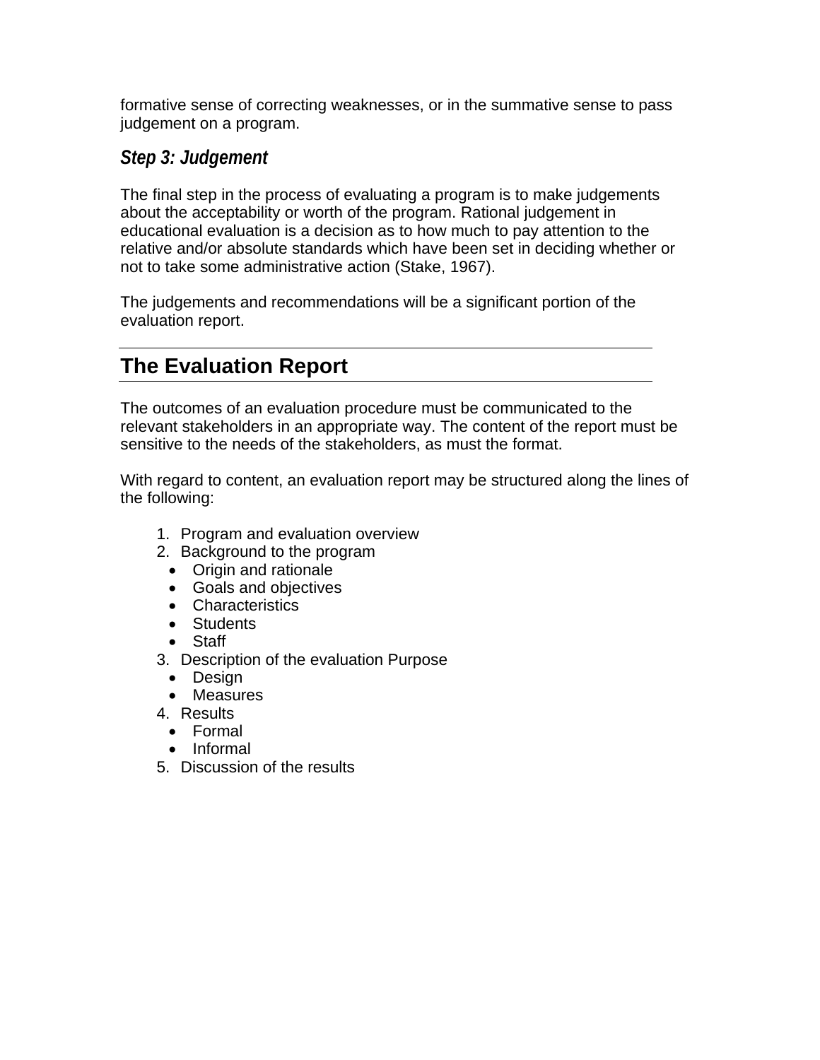<span id="page-18-0"></span>formative sense of correcting weaknesses, or in the summative sense to pass judgement on a program.

### *Step 3: Judgement*

The final step in the process of evaluating a program is to make judgements about the acceptability or worth of the program. Rational judgement in educational evaluation is a decision as to how much to pay attention to the relative and/or absolute standards which have been set in deciding whether or not to take some administrative action (Stake, 1967).

The judgements and recommendations will be a significant portion of the evaluation report.

# **The Evaluation Report**

The outcomes of an evaluation procedure must be communicated to the relevant stakeholders in an appropriate way. The content of the report must be sensitive to the needs of the stakeholders, as must the format.

With regard to content, an evaluation report may be structured along the lines of the following:

- 1. Program and evaluation overview
- 2. Background to the program
	- Origin and rationale
	- Goals and objectives
	- Characteristics
	- Students
	- Staff
- 3. Description of the evaluation Purpose
	- Design
	- Measures
- 4. Results
	- Formal
	- Informal
- 5. Discussion of the results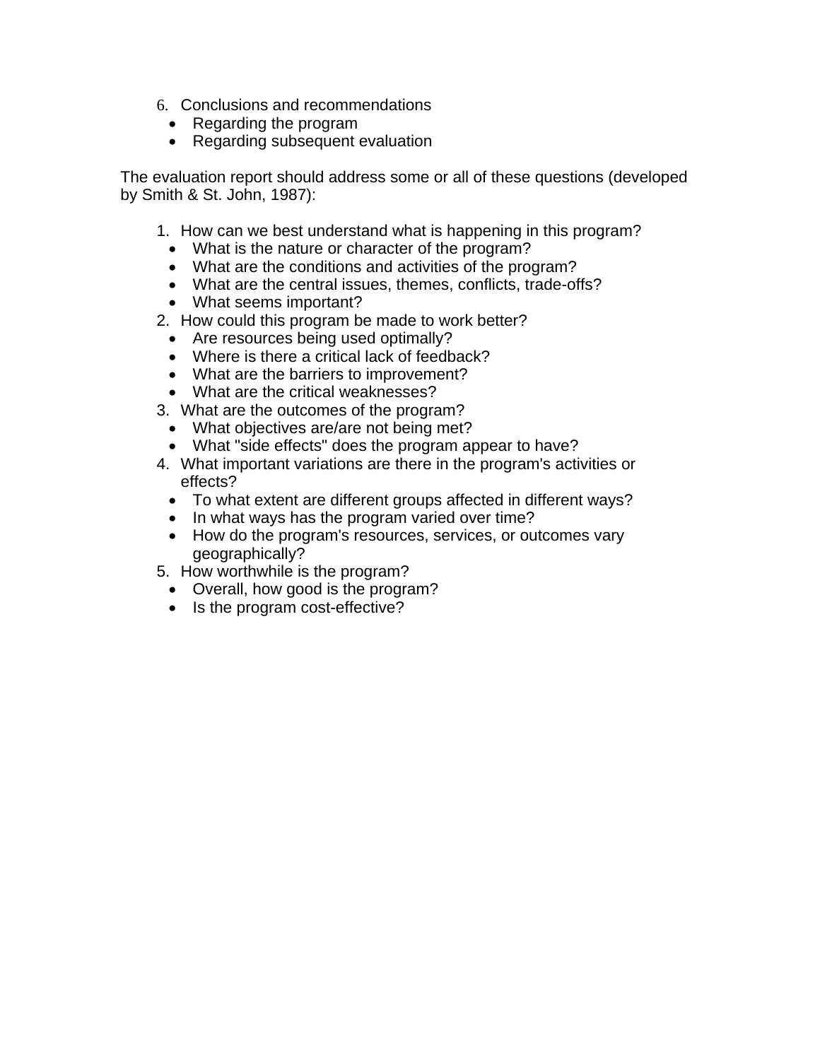- 6. Conclusions and recommendations
	- Regarding the program
	- Regarding subsequent evaluation

The evaluation report should address some or all of these questions (developed by Smith & St. John, 1987):

- 1. How can we best understand what is happening in this program?
	- What is the nature or character of the program?
	- What are the conditions and activities of the program?
	- What are the central issues, themes, conflicts, trade-offs?
	- What seems important?
- 2. How could this program be made to work better?
	- Are resources being used optimally?
	- Where is there a critical lack of feedback?
	- What are the barriers to improvement?
	- What are the critical weaknesses?
- 3. What are the outcomes of the program?
	- What objectives are/are not being met?
	- What "side effects" does the program appear to have?
- 4. What important variations are there in the program's activities or effects?
	- To what extent are different groups affected in different ways?
	- In what ways has the program varied over time?
	- How do the program's resources, services, or outcomes vary geographically?
- 5. How worthwhile is the program?
- Overall, how good is the program?
- Is the program cost-effective?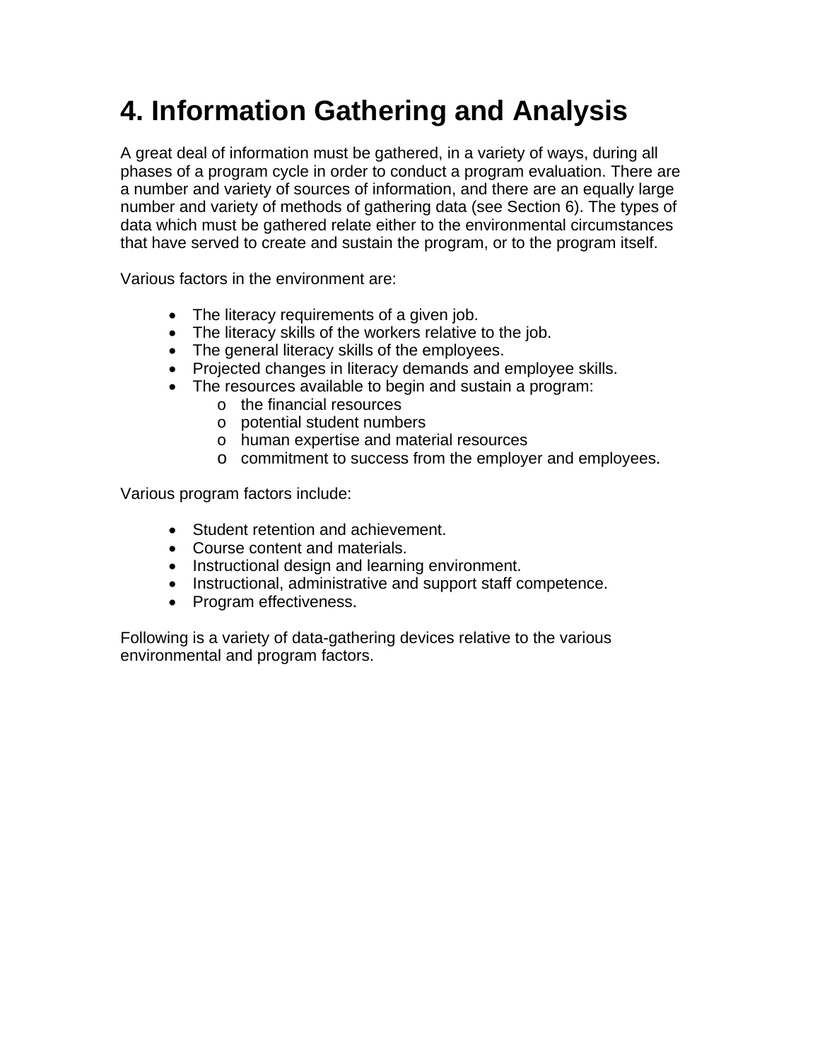# <span id="page-20-0"></span>**4. Information Gathering and Analysis**

A great deal of information must be gathered, in a variety of ways, during all phases of a program cycle in order to conduct a program evaluation. There are a number and variety of sources of information, and there are an equally large number and variety of methods of gathering data (see Section 6). The types of data which must be gathered relate either to the environmental circumstances that have served to create and sustain the program, or to the program itself.

Various factors in the environment are:

- The literacy requirements of a given job.
- The literacy skills of the workers relative to the job.
- The general literacy skills of the employees.
- Projected changes in literacy demands and employee skills.
- The resources available to begin and sustain a program:
	- o the financial resources
	- o potential student numbers
	- o human expertise and material resources
	- o commitment to success from the employer and employees.

Various program factors include:

- Student retention and achievement.
- Course content and materials.
- Instructional design and learning environment.
- Instructional, administrative and support staff competence.
- Program effectiveness.

Following is a variety of data-gathering devices relative to the various environmental and program factors.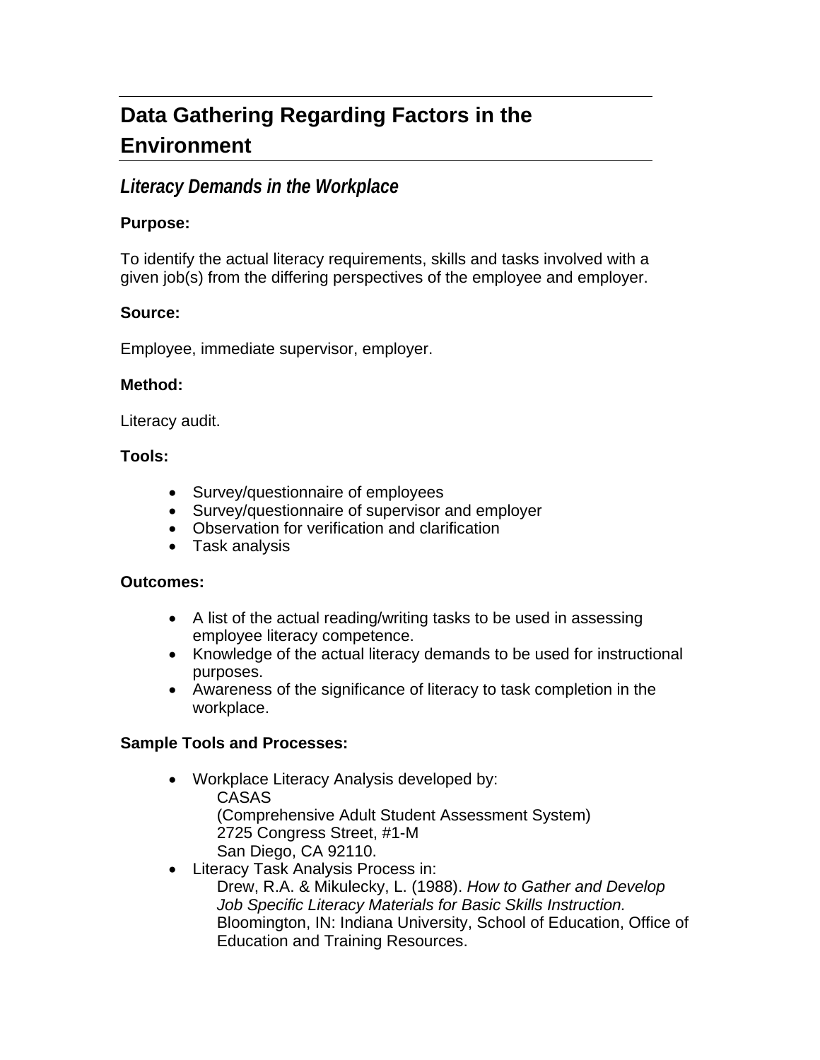# <span id="page-21-0"></span>**Data Gathering Regarding Factors in the Environment**

### *Literacy Demands in the Workplace*

#### **Purpose:**

To identify the actual literacy requirements, skills and tasks involved with a given job(s) from the differing perspectives of the employee and employer.

#### **Source:**

Employee, immediate supervisor, employer.

#### **Method:**

Literacy audit.

#### **Tools:**

- Survey/questionnaire of employees
- Survey/questionnaire of supervisor and employer
- Observation for verification and clarification
- Task analysis

#### **Outcomes:**

- A list of the actual reading/writing tasks to be used in assessing employee literacy competence.
- Knowledge of the actual literacy demands to be used for instructional purposes.
- Awareness of the significance of literacy to task completion in the workplace.

#### **Sample Tools and Processes:**

- Workplace Literacy Analysis developed by: CASAS (Comprehensive Adult Student Assessment System) 2725 Congress Street, #1-M San Diego, CA 92110.
- Literacy Task Analysis Process in: Drew, R.A. & Mikulecky, L. (1988). *How to Gather and Develop Job Specific Literacy Materials for Basic Skills Instruction.* Bloomington, IN: Indiana University, School of Education, Office of Education and Training Resources.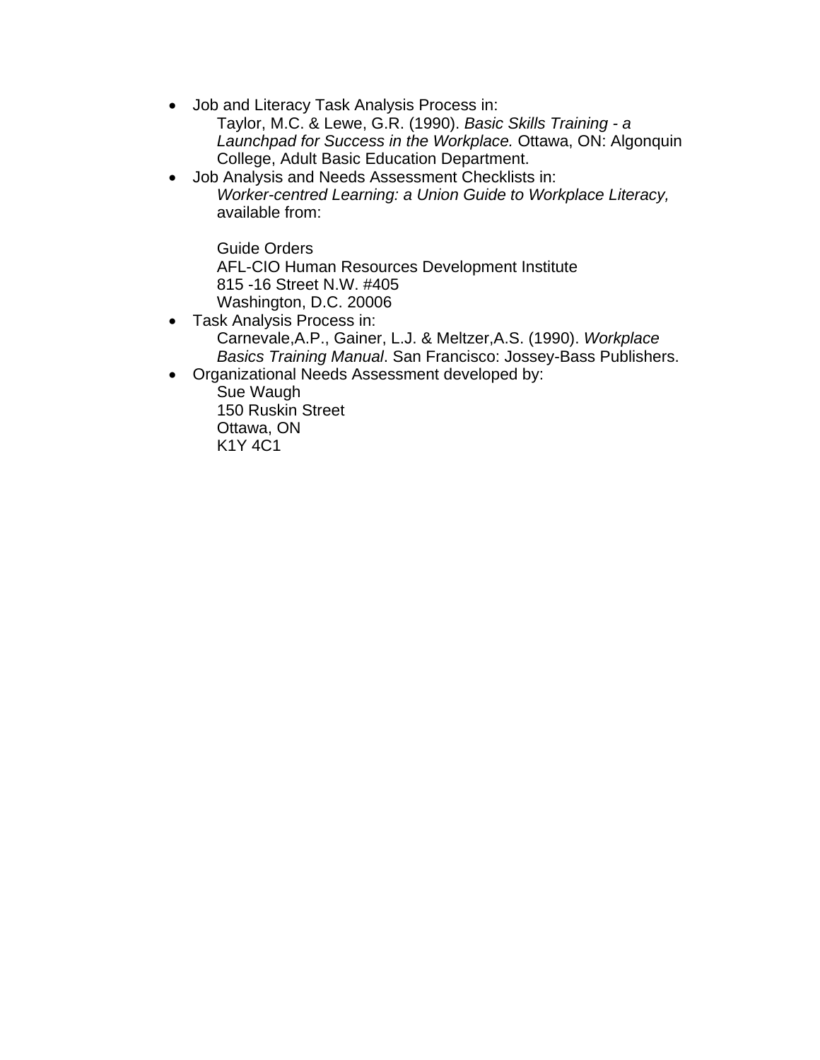- Job and Literacy Task Analysis Process in:
	- Taylor, M.C. & Lewe, G.R. (1990). *Basic Skills Training a Launchpad for Success in the Workplace.* Ottawa, ON: Algonquin College, Adult Basic Education Department.
- Job Analysis and Needs Assessment Checklists in: *Worker-centred Learning: a Union Guide to Workplace Literacy,* available from:

Guide Orders AFL-CIO Human Resources Development Institute 815 -16 Street N.W. #405 Washington, D.C. 20006

- Task Analysis Process in: Carnevale,A.P., Gainer, L.J. & Meltzer,A.S. (1990). *Workplace Basics Training Manual*. San Francisco: Jossey-Bass Publishers.
- Organizational Needs Assessment developed by:

Sue Waugh 150 Ruskin Street Ottawa, ON K1Y 4C1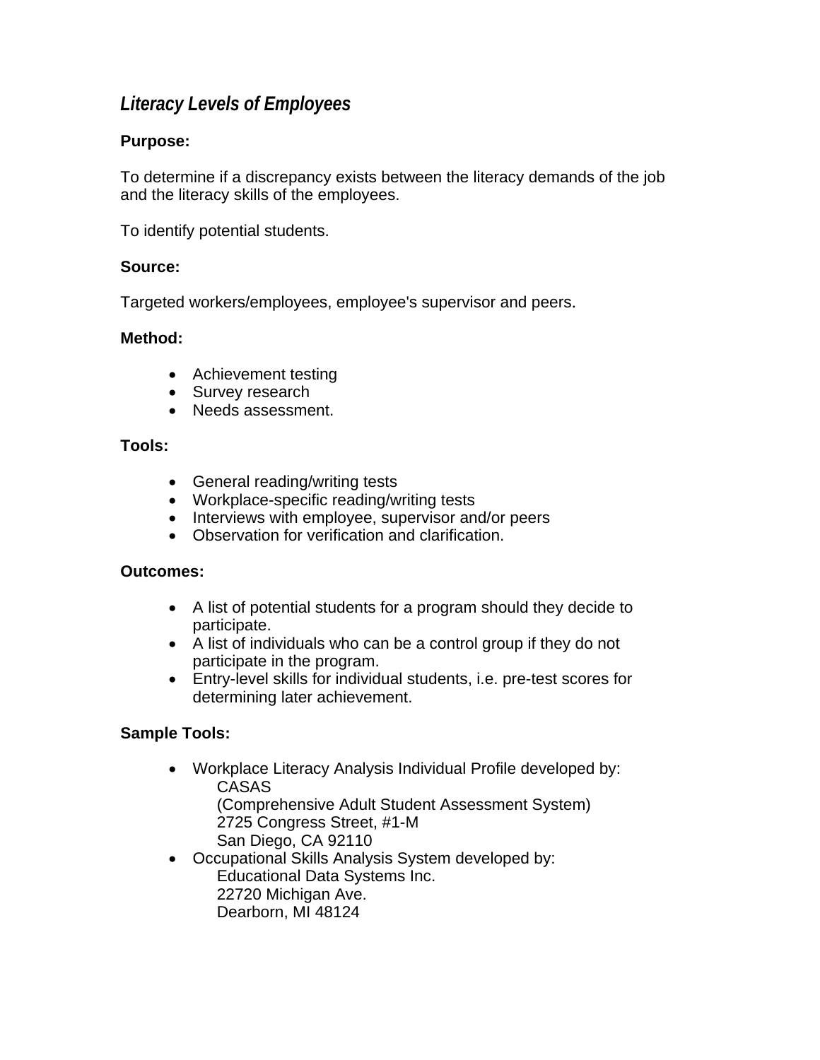### <span id="page-23-0"></span>*Literacy Levels of Employees*

#### **Purpose:**

To determine if a discrepancy exists between the literacy demands of the job and the literacy skills of the employees.

To identify potential students.

#### **Source:**

Targeted workers/employees, employee's supervisor and peers.

#### **Method:**

- Achievement testing
- Survey research
- Needs assessment.

#### **Tools:**

- General reading/writing tests
- Workplace-specific reading/writing tests
- Interviews with employee, supervisor and/or peers
- Observation for verification and clarification.

#### **Outcomes:**

- A list of potential students for a program should they decide to participate.
- A list of individuals who can be a control group if they do not participate in the program.
- Entry-level skills for individual students, i.e. pre-test scores for determining later achievement.

#### **Sample Tools:**

- Workplace Literacy Analysis Individual Profile developed by: CASAS (Comprehensive Adult Student Assessment System) 2725 Congress Street, #1-M San Diego, CA 92110
- Occupational Skills Analysis System developed by: Educational Data Systems Inc. 22720 Michigan Ave. Dearborn, MI 48124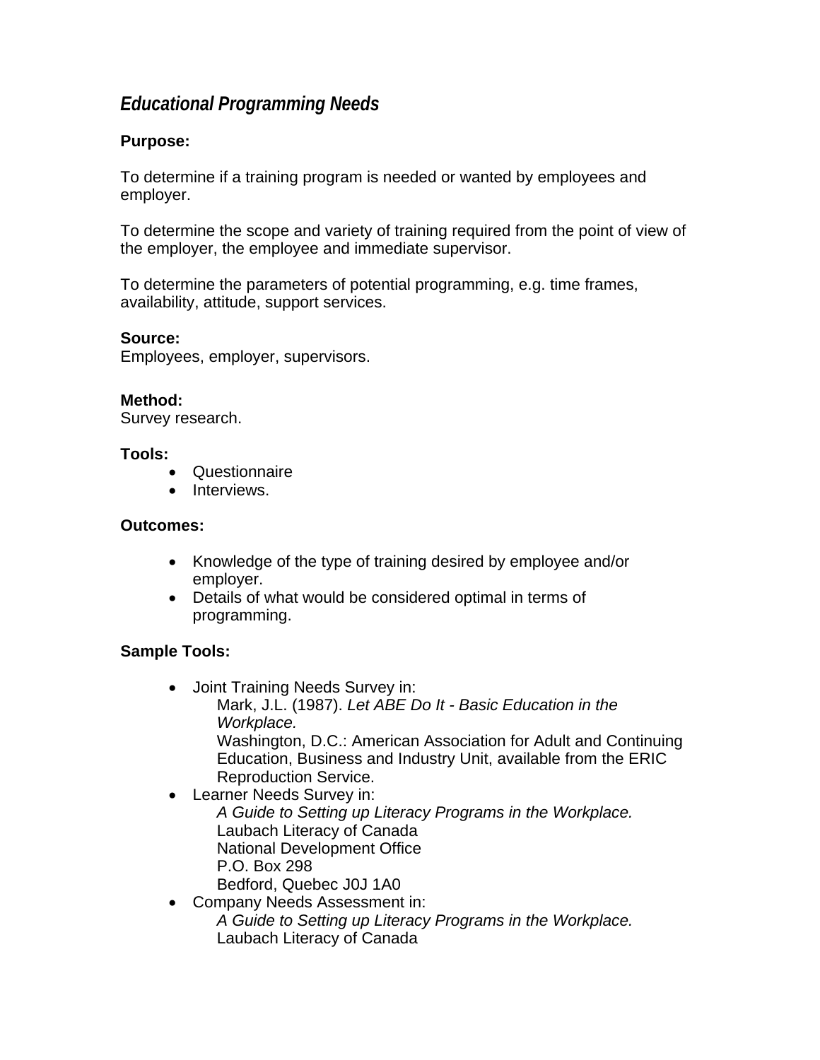### <span id="page-24-0"></span>*Educational Programming Needs*

#### **Purpose:**

To determine if a training program is needed or wanted by employees and employer.

To determine the scope and variety of training required from the point of view of the employer, the employee and immediate supervisor.

To determine the parameters of potential programming, e.g. time frames, availability, attitude, support services.

#### **Source:**

Employees, employer, supervisors.

#### **Method:**

Survey research.

#### **Tools:**

- Questionnaire
- Interviews.

#### **Outcomes:**

- Knowledge of the type of training desired by employee and/or employer.
- Details of what would be considered optimal in terms of programming.

#### **Sample Tools:**

- Joint Training Needs Survey in: Mark, J.L. (1987). *Let ABE Do It - Basic Education in the Workplace.* Washington, D.C.: American Association for Adult and Continuing Education, Business and Industry Unit, available from the ERIC Reproduction Service.
- Learner Needs Survey in: *A Guide to Setting up Literacy Programs in the Workplace.*  Laubach Literacy of Canada National Development Office P.O. Box 298 Bedford, Quebec J0J 1A0
- Company Needs Assessment in: *A Guide to Setting up Literacy Programs in the Workplace.*  Laubach Literacy of Canada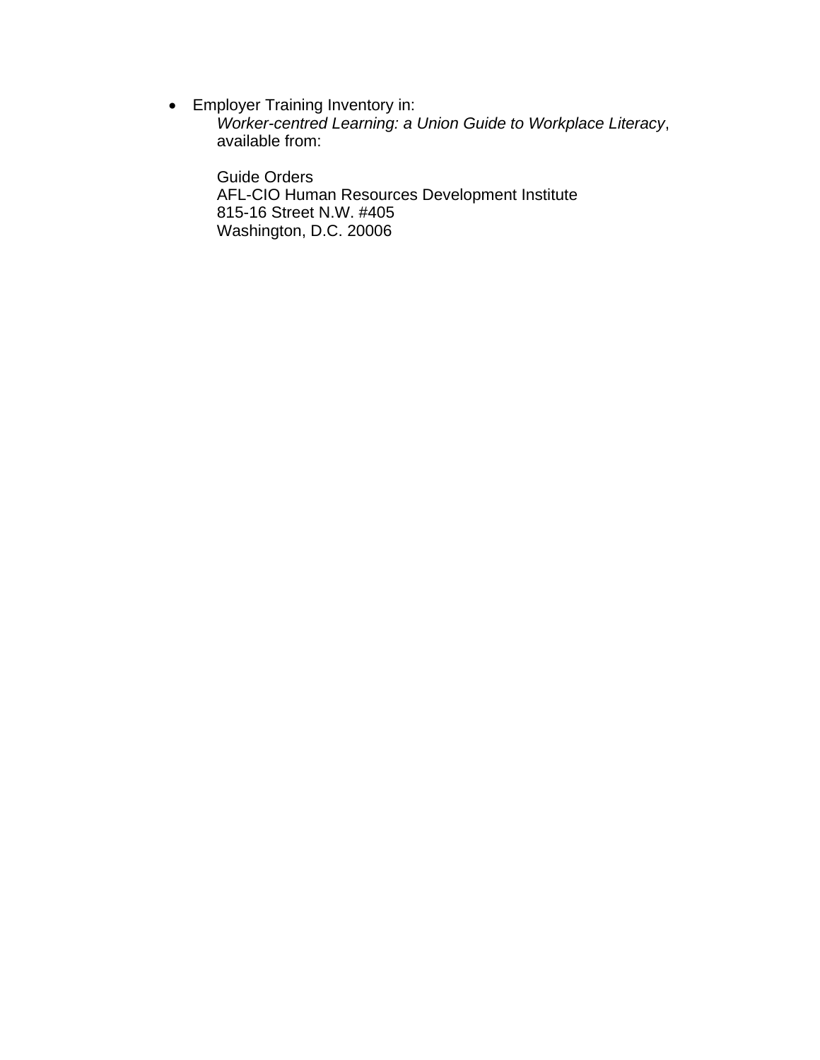• Employer Training Inventory in:

*Worker-centred Learning: a Union Guide to Workplace Literacy*, available from:

Guide Orders AFL-CIO Human Resources Development Institute 815-16 Street N.W. #405 Washington, D.C. 20006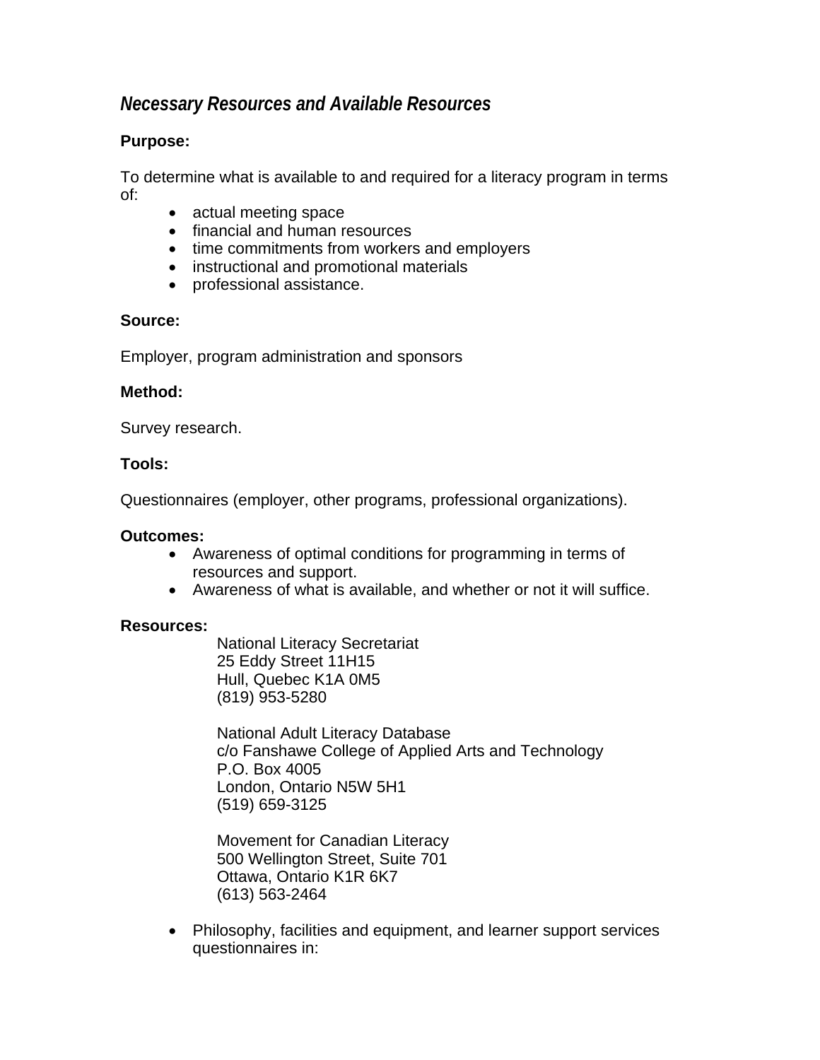### <span id="page-26-0"></span>*Necessary Resources and Available Resources*

#### **Purpose:**

To determine what is available to and required for a literacy program in terms of:

- actual meeting space
- financial and human resources
- time commitments from workers and employers
- instructional and promotional materials
- professional assistance.

#### **Source:**

Employer, program administration and sponsors

#### **Method:**

Survey research.

#### **Tools:**

Questionnaires (employer, other programs, professional organizations).

#### **Outcomes:**

- Awareness of optimal conditions for programming in terms of resources and support.
- Awareness of what is available, and whether or not it will suffice.

#### **Resources:**

National Literacy Secretariat 25 Eddy Street 11H15 Hull, Quebec K1A 0M5 (819) 953-5280

National Adult Literacy Database c/o Fanshawe College of Applied Arts and Technology P.O. Box 4005 London, Ontario N5W 5H1 (519) 659-3125

Movement for Canadian Literacy 500 Wellington Street, Suite 701 Ottawa, Ontario K1R 6K7 (613) 563-2464

• Philosophy, facilities and equipment, and learner support services questionnaires in: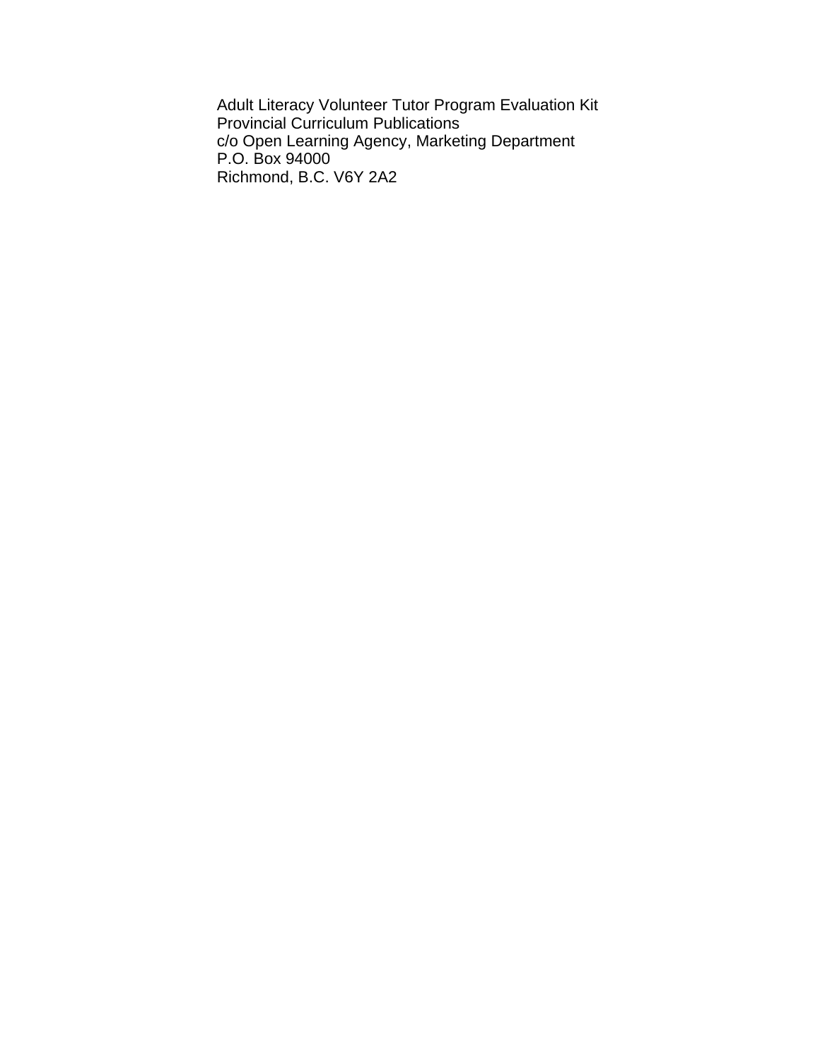Adult Literacy Volunteer Tutor Program Evaluation Kit Provincial Curriculum Publications c/o Open Learning Agency, Marketing Department P.O. Box 94000 Richmond, B.C. V6Y 2A2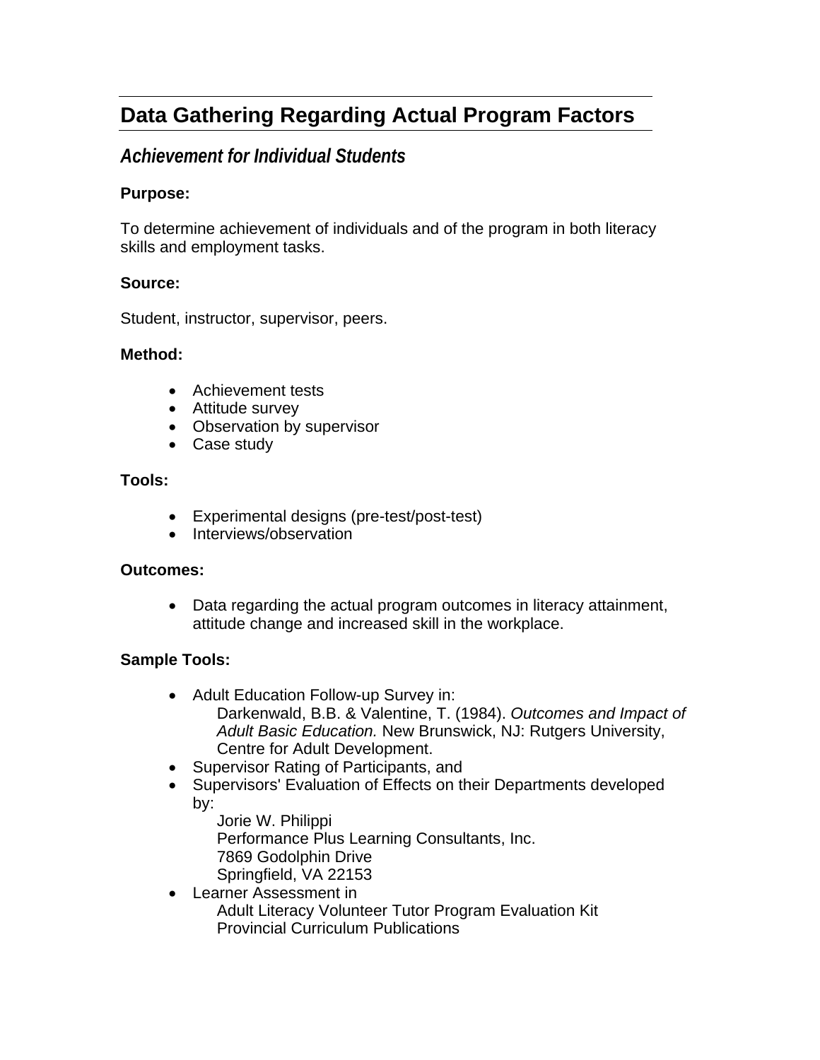# <span id="page-28-0"></span>**Data Gathering Regarding Actual Program Factors**

### *Achievement for Individual Students*

#### **Purpose:**

To determine achievement of individuals and of the program in both literacy skills and employment tasks.

#### **Source:**

Student, instructor, supervisor, peers.

#### **Method:**

- Achievement tests
- Attitude survey
- Observation by supervisor
- Case study

#### **Tools:**

- Experimental designs (pre-test/post-test)
- Interviews/observation

#### **Outcomes:**

• Data regarding the actual program outcomes in literacy attainment, attitude change and increased skill in the workplace.

#### **Sample Tools:**

- Adult Education Follow-up Survey in:
	- Darkenwald, B.B. & Valentine, T. (1984). *Outcomes and Impact of Adult Basic Education.* New Brunswick, NJ: Rutgers University, Centre for Adult Development.
- Supervisor Rating of Participants, and
- Supervisors' Evaluation of Effects on their Departments developed by:
	- Jorie W. Philippi Performance Plus Learning Consultants, Inc. 7869 Godolphin Drive Springfield, VA 22153
- Learner Assessment in Adult Literacy Volunteer Tutor Program Evaluation Kit Provincial Curriculum Publications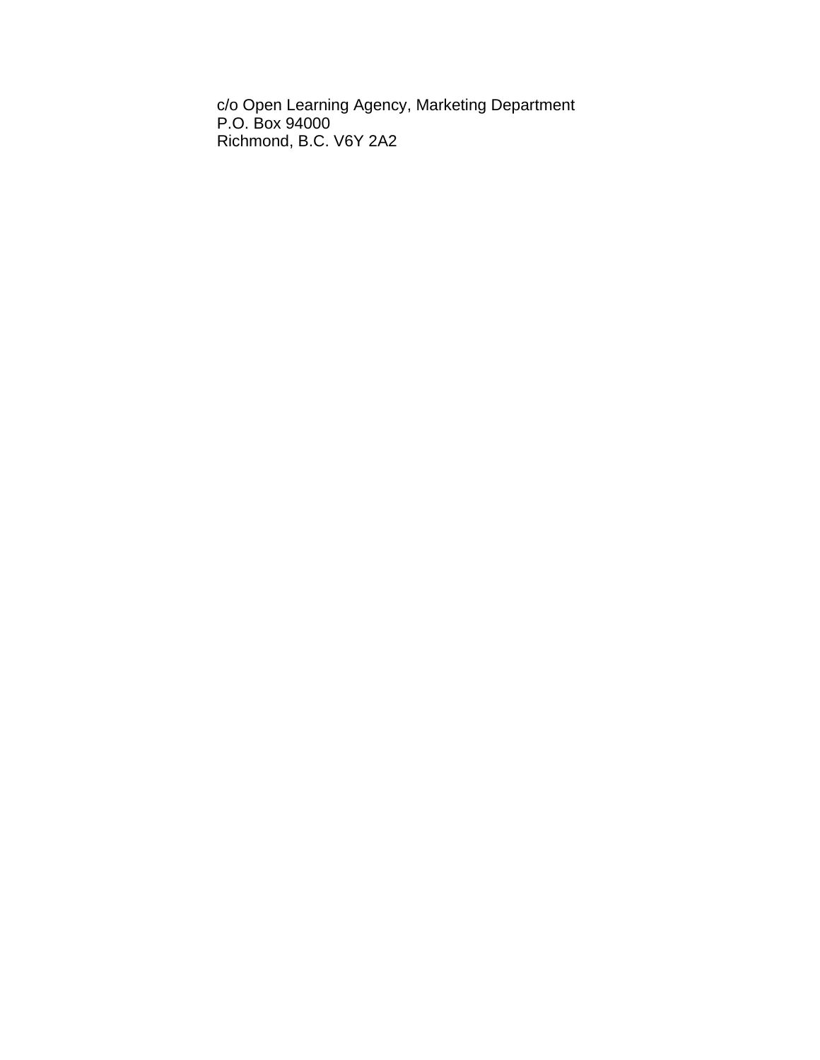c/o Open Learning Agency, Marketing Department P.O. Box 94000 Richmond, B.C. V6Y 2A2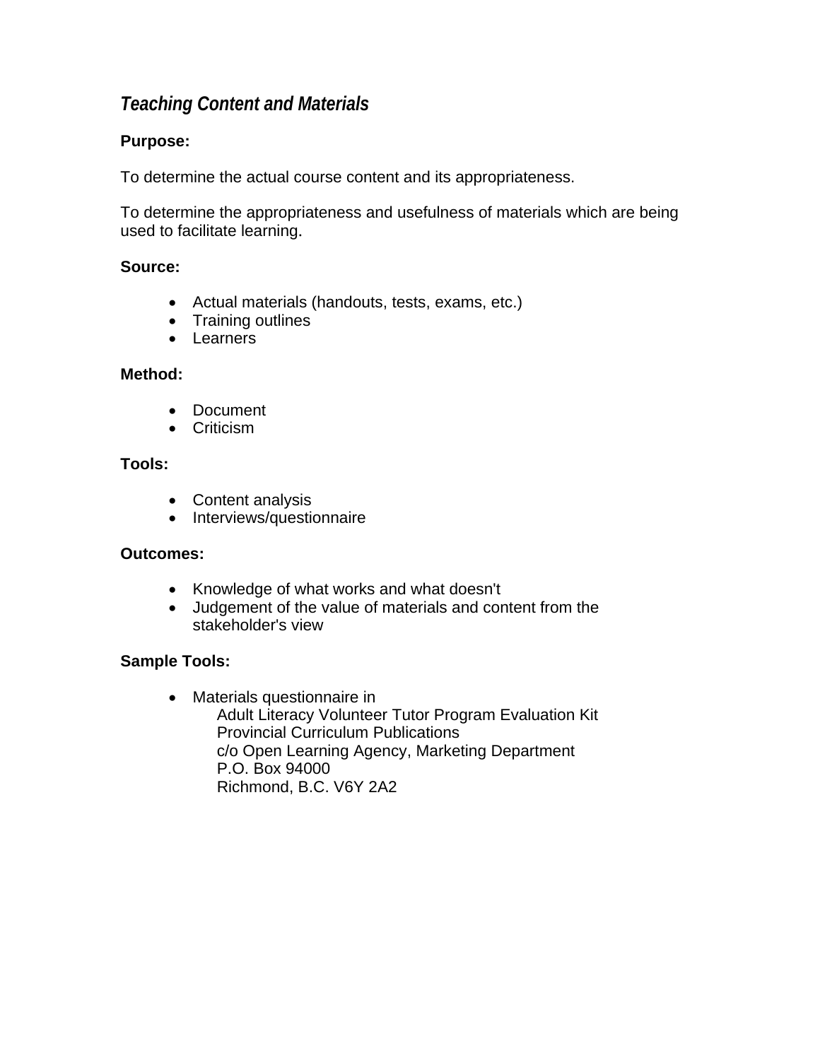### <span id="page-30-0"></span>*Teaching Content and Materials*

#### **Purpose:**

To determine the actual course content and its appropriateness.

To determine the appropriateness and usefulness of materials which are being used to facilitate learning.

#### **Source:**

- Actual materials (handouts, tests, exams, etc.)
- Training outlines
- Learners

#### **Method:**

- Document
- Criticism

#### **Tools:**

- Content analysis
- Interviews/questionnaire

#### **Outcomes:**

- Knowledge of what works and what doesn't
- Judgement of the value of materials and content from the stakeholder's view

#### **Sample Tools:**

• Materials questionnaire in Adult Literacy Volunteer Tutor Program Evaluation Kit Provincial Curriculum Publications c/o Open Learning Agency, Marketing Department P.O. Box 94000 Richmond, B.C. V6Y 2A2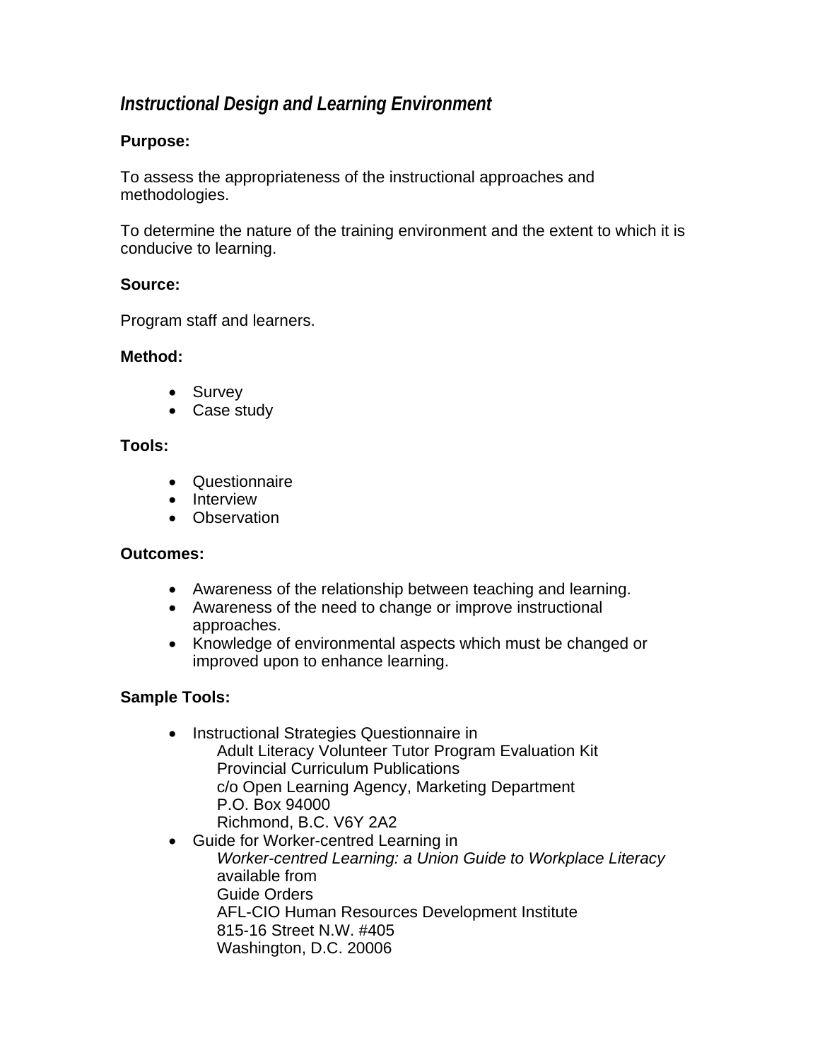### <span id="page-31-0"></span>*Instructional Design and Learning Environment*

#### **Purpose:**

To assess the appropriateness of the instructional approaches and methodologies.

To determine the nature of the training environment and the extent to which it is conducive to learning.

#### **Source:**

Program staff and learners.

#### **Method:**

- Survey
- Case study

#### **Tools:**

- Questionnaire
- Interview
- Observation

#### **Outcomes:**

- Awareness of the relationship between teaching and learning.
- Awareness of the need to change or improve instructional approaches.
- Knowledge of environmental aspects which must be changed or improved upon to enhance learning.

#### **Sample Tools:**

- Instructional Strategies Questionnaire in Adult Literacy Volunteer Tutor Program Evaluation Kit Provincial Curriculum Publications c/o Open Learning Agency, Marketing Department P.O. Box 94000 Richmond, B.C. V6Y 2A2
- Guide for Worker-centred Learning in *Worker-centred Learning: a Union Guide to Workplace Literacy* available from Guide Orders AFL-CIO Human Resources Development Institute 815-16 Street N.W. #405 Washington, D.C. 20006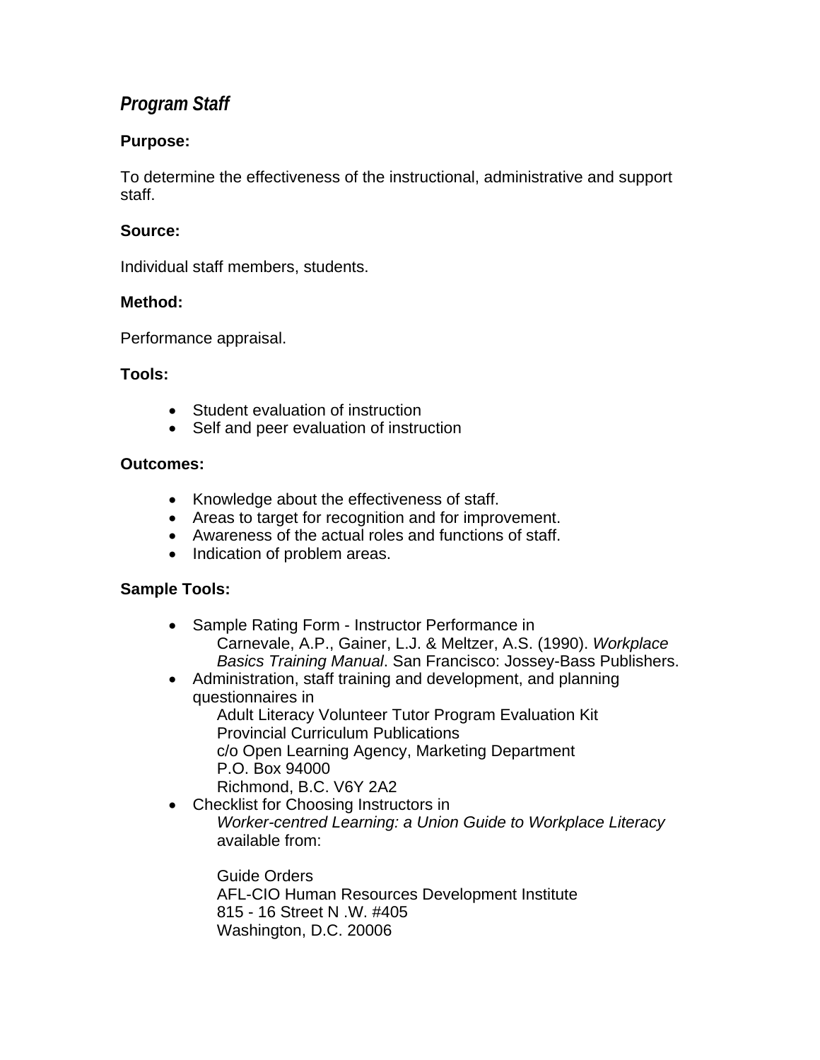### <span id="page-32-0"></span>*Program Staff*

#### **Purpose:**

To determine the effectiveness of the instructional, administrative and support staff.

#### **Source:**

Individual staff members, students.

#### **Method:**

Performance appraisal.

#### **Tools:**

- Student evaluation of instruction
- Self and peer evaluation of instruction

#### **Outcomes:**

- Knowledge about the effectiveness of staff.
- Areas to target for recognition and for improvement.
- Awareness of the actual roles and functions of staff.
- Indication of problem areas.

#### **Sample Tools:**

- Sample Rating Form Instructor Performance in Carnevale, A.P., Gainer, L.J. & Meltzer, A.S. (1990). *Workplace Basics Training Manual*. San Francisco: Jossey-Bass Publishers.
- Administration, staff training and development, and planning questionnaires in Adult Literacy Volunteer Tutor Program Evaluation Kit Provincial Curriculum Publications

c/o Open Learning Agency, Marketing Department P.O. Box 94000

- Richmond, B.C. V6Y 2A2
- Checklist for Choosing Instructors in *Worker-centred Learning: a Union Guide to Workplace Literacy* available from:

Guide Orders AFL-CIO Human Resources Development Institute 815 - 16 Street N .W. #405 Washington, D.C. 20006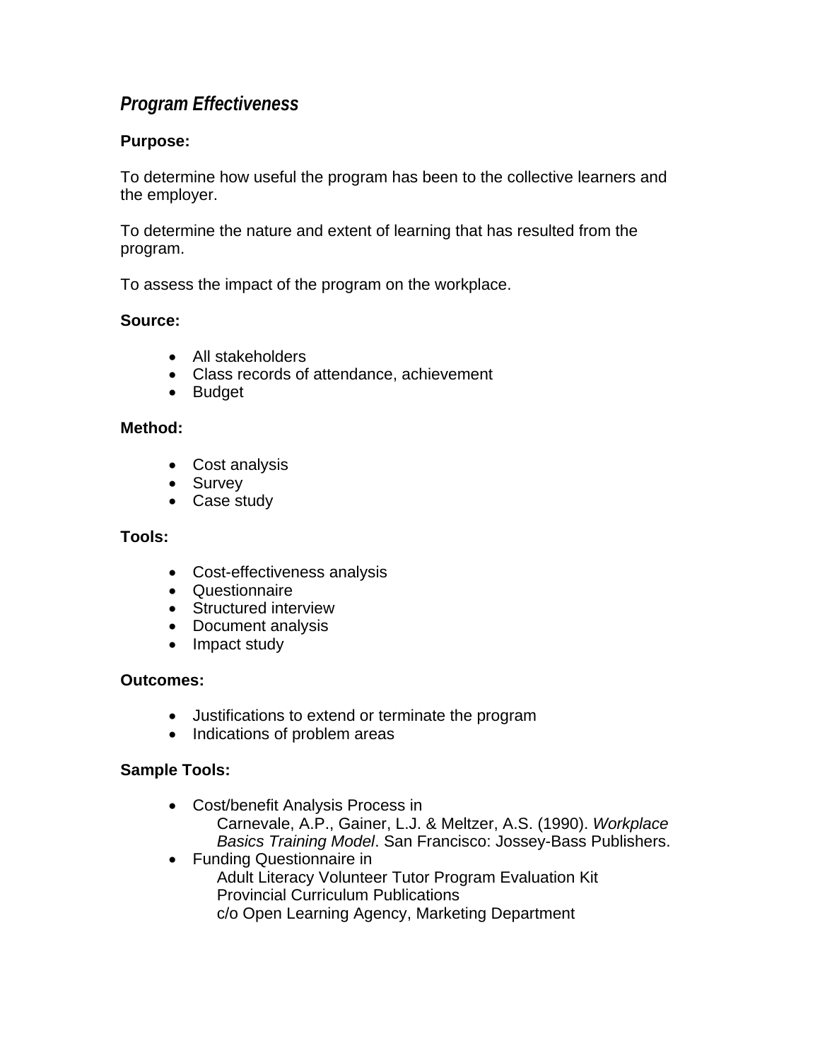### <span id="page-33-0"></span>*Program Effectiveness*

#### **Purpose:**

To determine how useful the program has been to the collective learners and the employer.

To determine the nature and extent of learning that has resulted from the program.

To assess the impact of the program on the workplace.

#### **Source:**

- All stakeholders
- Class records of attendance, achievement
- Budget

#### **Method:**

- Cost analysis
- Survey
- Case study

#### **Tools:**

- Cost-effectiveness analysis
- Questionnaire
- Structured interview
- Document analysis
- Impact study

#### **Outcomes:**

- Justifications to extend or terminate the program
- Indications of problem areas

#### **Sample Tools:**

- Cost/benefit Analysis Process in Carnevale, A.P., Gainer, L.J. & Meltzer, A.S. (1990). *Workplace Basics Training Model*. San Francisco: Jossey-Bass Publishers.
- Funding Questionnaire in Adult Literacy Volunteer Tutor Program Evaluation Kit Provincial Curriculum Publications c/o Open Learning Agency, Marketing Department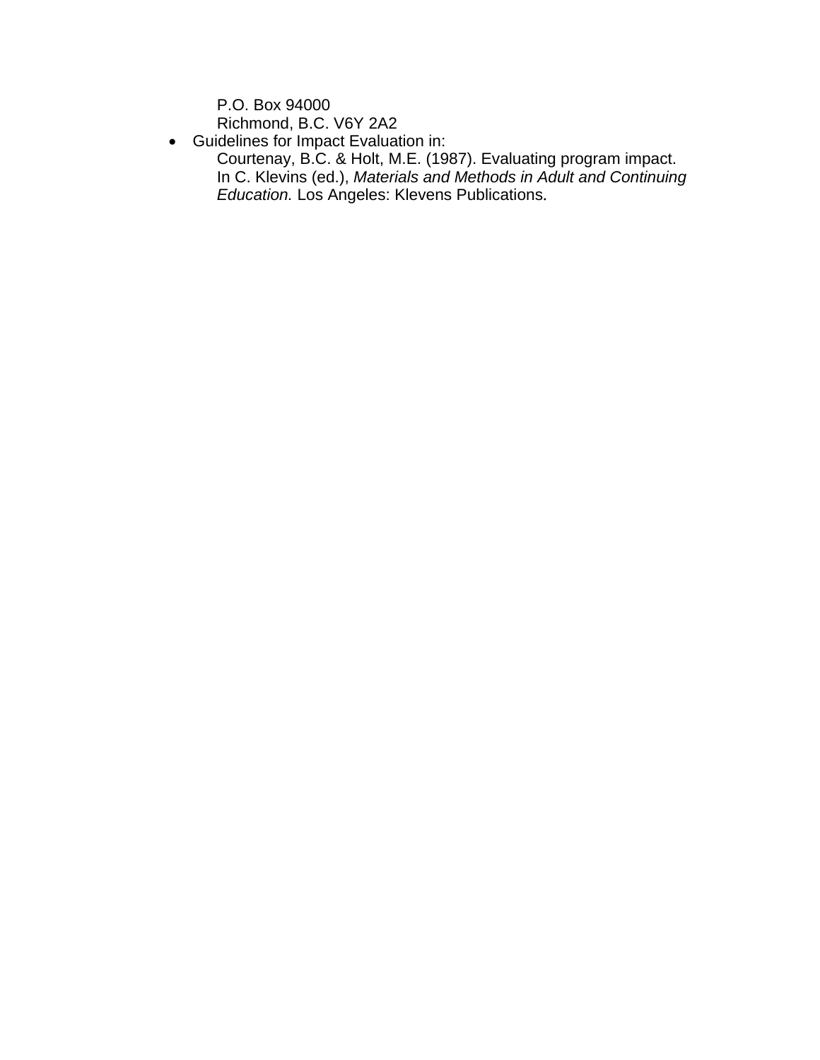P.O. Box 94000 Richmond, B.C. V6Y 2A2

• Guidelines for Impact Evaluation in:

Courtenay, B.C. & Holt, M.E. (1987). Evaluating program impact. In C. Klevins (ed.), *Materials and Methods in Adult and Continuing Education.* Los Angeles: Klevens Publications.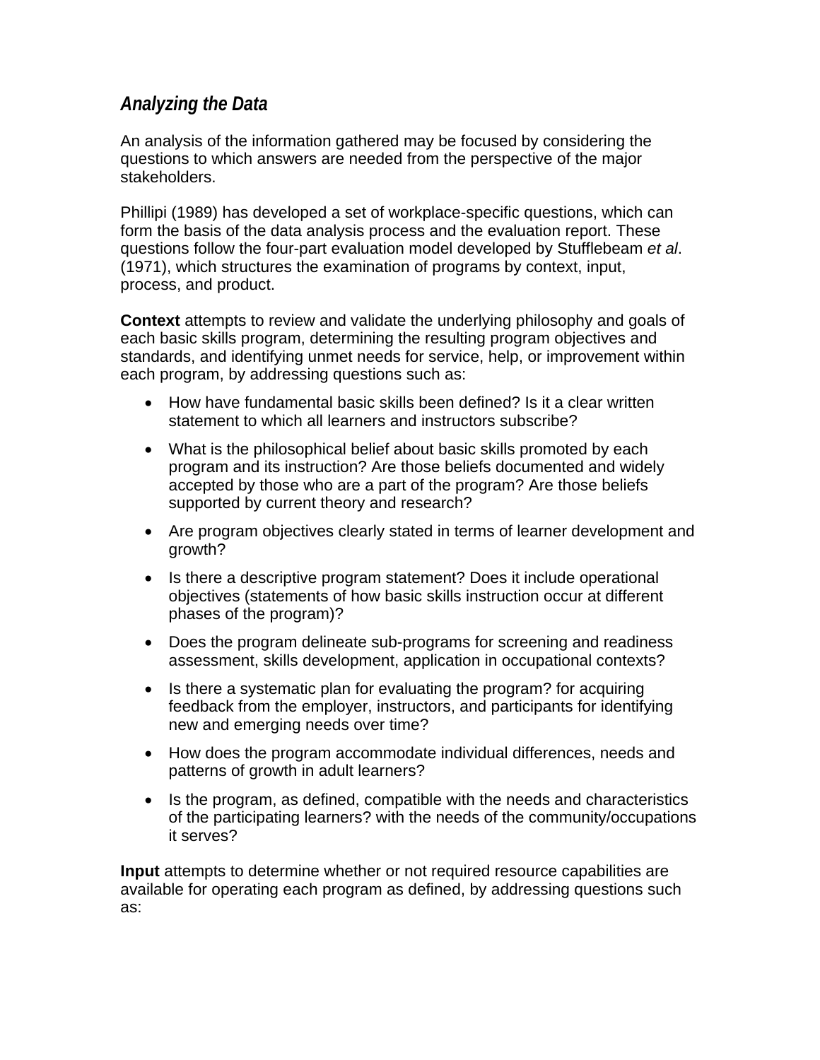### <span id="page-35-0"></span>*Analyzing the Data*

An analysis of the information gathered may be focused by considering the questions to which answers are needed from the perspective of the major stakeholders.

Phillipi (1989) has developed a set of workplace-specific questions, which can form the basis of the data analysis process and the evaluation report. These questions follow the four-part evaluation model developed by Stufflebeam *et al*. (1971), which structures the examination of programs by context, input, process, and product.

**Context** attempts to review and validate the underlying philosophy and goals of each basic skills program, determining the resulting program objectives and standards, and identifying unmet needs for service, help, or improvement within each program, by addressing questions such as:

- How have fundamental basic skills been defined? Is it a clear written statement to which all learners and instructors subscribe?
- What is the philosophical belief about basic skills promoted by each program and its instruction? Are those beliefs documented and widely accepted by those who are a part of the program? Are those beliefs supported by current theory and research?
- Are program objectives clearly stated in terms of learner development and growth?
- Is there a descriptive program statement? Does it include operational objectives (statements of how basic skills instruction occur at different phases of the program)?
- Does the program delineate sub-programs for screening and readiness assessment, skills development, application in occupational contexts?
- Is there a systematic plan for evaluating the program? for acquiring feedback from the employer, instructors, and participants for identifying new and emerging needs over time?
- How does the program accommodate individual differences, needs and patterns of growth in adult learners?
- Is the program, as defined, compatible with the needs and characteristics of the participating learners? with the needs of the community/occupations it serves?

**Input** attempts to determine whether or not required resource capabilities are available for operating each program as defined, by addressing questions such as: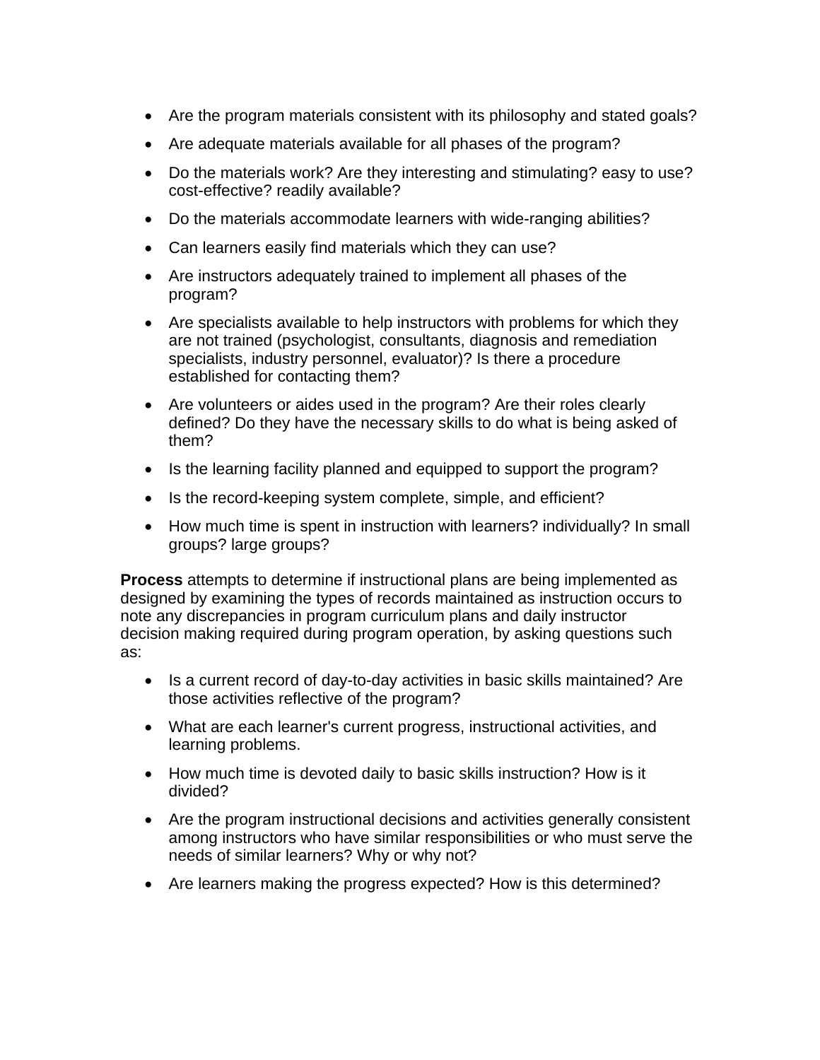- Are the program materials consistent with its philosophy and stated goals?
- Are adequate materials available for all phases of the program?
- Do the materials work? Are they interesting and stimulating? easy to use? cost-effective? readily available?
- Do the materials accommodate learners with wide-ranging abilities?
- Can learners easily find materials which they can use?
- Are instructors adequately trained to implement all phases of the program?
- Are specialists available to help instructors with problems for which they are not trained (psychologist, consultants, diagnosis and remediation specialists, industry personnel, evaluator)? Is there a procedure established for contacting them?
- Are volunteers or aides used in the program? Are their roles clearly defined? Do they have the necessary skills to do what is being asked of them?
- Is the learning facility planned and equipped to support the program?
- Is the record-keeping system complete, simple, and efficient?
- How much time is spent in instruction with learners? individually? In small groups? large groups?

**Process** attempts to determine if instructional plans are being implemented as designed by examining the types of records maintained as instruction occurs to note any discrepancies in program curriculum plans and daily instructor decision making required during program operation, by asking questions such as:

- Is a current record of day-to-day activities in basic skills maintained? Are those activities reflective of the program?
- What are each learner's current progress, instructional activities, and learning problems.
- How much time is devoted daily to basic skills instruction? How is it divided?
- Are the program instructional decisions and activities generally consistent among instructors who have similar responsibilities or who must serve the needs of similar learners? Why or why not?
- Are learners making the progress expected? How is this determined?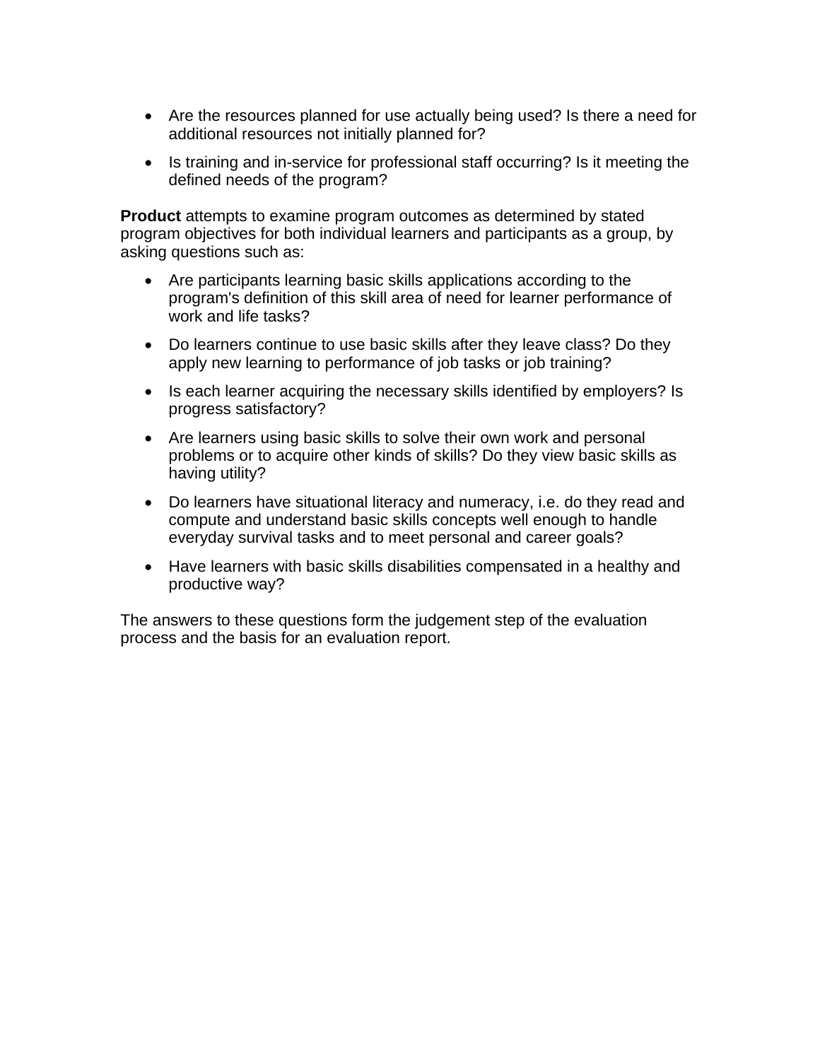- Are the resources planned for use actually being used? Is there a need for additional resources not initially planned for?
- Is training and in-service for professional staff occurring? Is it meeting the defined needs of the program?

**Product** attempts to examine program outcomes as determined by stated program objectives for both individual learners and participants as a group, by asking questions such as:

- Are participants learning basic skills applications according to the program's definition of this skill area of need for learner performance of work and life tasks?
- Do learners continue to use basic skills after they leave class? Do they apply new learning to performance of job tasks or job training?
- Is each learner acquiring the necessary skills identified by employers? Is progress satisfactory?
- Are learners using basic skills to solve their own work and personal problems or to acquire other kinds of skills? Do they view basic skills as having utility?
- Do learners have situational literacy and numeracy, i.e. do they read and compute and understand basic skills concepts well enough to handle everyday survival tasks and to meet personal and career goals?
- Have learners with basic skills disabilities compensated in a healthy and productive way?

The answers to these questions form the judgement step of the evaluation process and the basis for an evaluation report.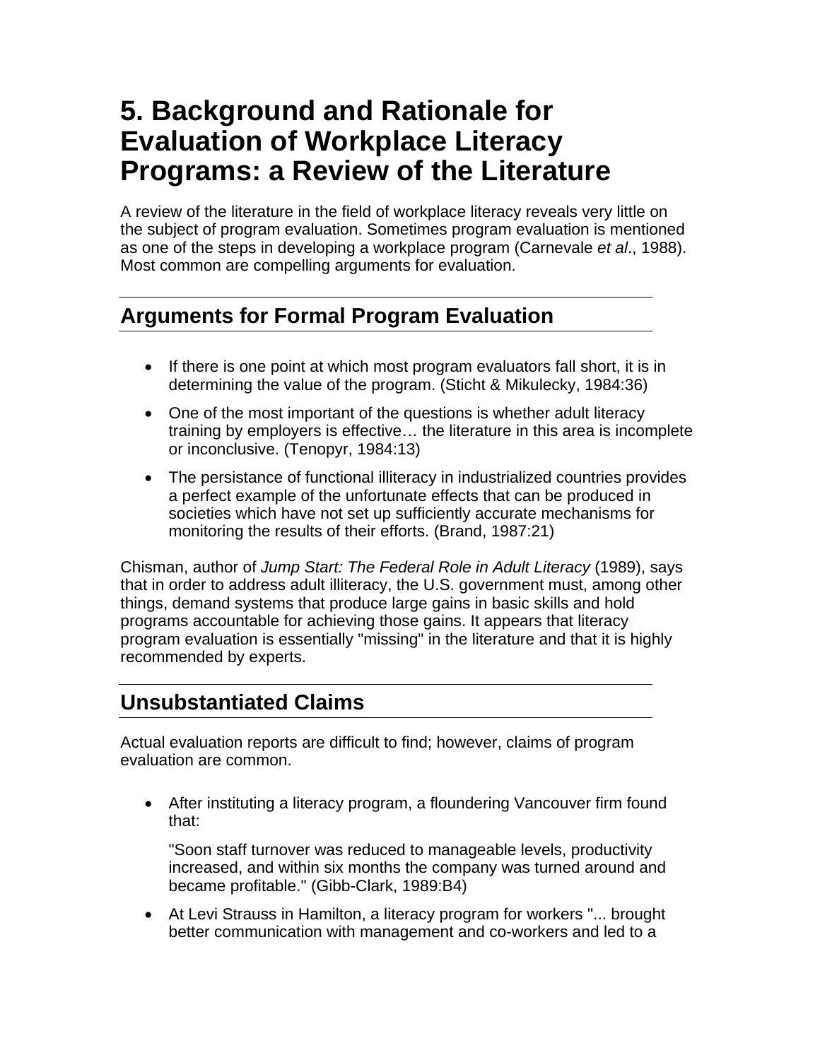# <span id="page-38-0"></span>**5. Background and Rationale for Evaluation of Workplace Literacy Programs: a Review of the Literature**

A review of the literature in the field of workplace literacy reveals very little on the subject of program evaluation. Sometimes program evaluation is mentioned as one of the steps in developing a workplace program (Carnevale *et al*., 1988). Most common are compelling arguments for evaluation.

# **Arguments for Formal Program Evaluation**

- If there is one point at which most program evaluators fall short, it is in determining the value of the program. (Sticht & Mikulecky, 1984:36)
- One of the most important of the questions is whether adult literacy training by employers is effective… the literature in this area is incomplete or inconclusive. (Tenopyr, 1984:13)
- The persistance of functional illiteracy in industrialized countries provides a perfect example of the unfortunate effects that can be produced in societies which have not set up sufficiently accurate mechanisms for monitoring the results of their efforts. (Brand, 1987:21)

Chisman, author of *Jump Start: The Federal Role in Adult Literacy* (1989), says that in order to address adult illiteracy, the U.S. government must, among other things, demand systems that produce large gains in basic skills and hold programs accountable for achieving those gains. It appears that literacy program evaluation is essentially "missing" in the literature and that it is highly recommended by experts.

# **Unsubstantiated Claims**

Actual evaluation reports are difficult to find; however, claims of program evaluation are common.

• After instituting a literacy program, a floundering Vancouver firm found that:

"Soon staff turnover was reduced to manageable levels, productivity increased, and within six months the company was turned around and became profitable." (Gibb-Clark, 1989:B4)

• At Levi Strauss in Hamilton, a literacy program for workers "... brought better communication with management and co-workers and led to a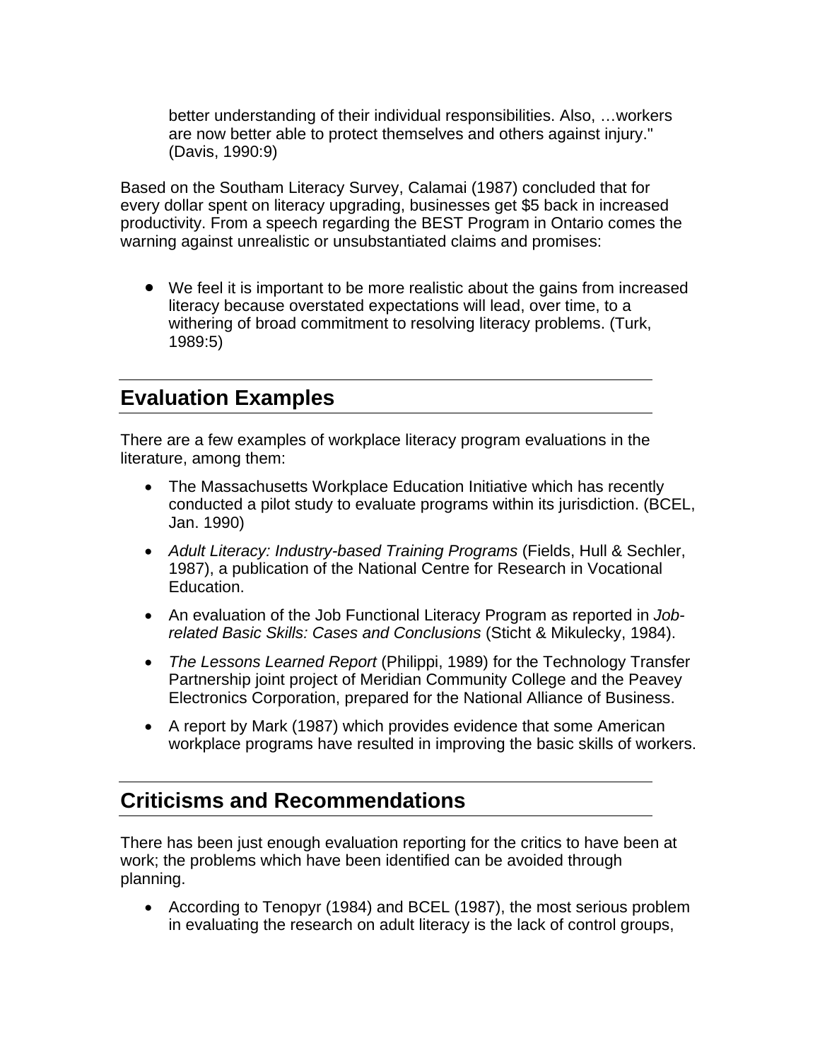<span id="page-39-0"></span>better understanding of their individual responsibilities. Also, …workers are now better able to protect themselves and others against injury." (Davis, 1990:9)

Based on the Southam Literacy Survey, Calamai (1987) concluded that for every dollar spent on literacy upgrading, businesses get \$5 back in increased productivity. From a speech regarding the BEST Program in Ontario comes the warning against unrealistic or unsubstantiated claims and promises:

• We feel it is important to be more realistic about the gains from increased literacy because overstated expectations will lead, over time, to a withering of broad commitment to resolving literacy problems. (Turk, 1989:5)

### **Evaluation Examples**

There are a few examples of workplace literacy program evaluations in the literature, among them:

- The Massachusetts Workplace Education Initiative which has recently conducted a pilot study to evaluate programs within its jurisdiction. (BCEL, Jan. 1990)
- *Adult Literacy: Industry-based Training Programs* (Fields, Hull & Sechler, 1987), a publication of the National Centre for Research in Vocational Education.
- An evaluation of the Job Functional Literacy Program as reported in *Jobrelated Basic Skills: Cases and Conclusions* (Sticht & Mikulecky, 1984).
- *The Lessons Learned Report* (Philippi, 1989) for the Technology Transfer Partnership joint project of Meridian Community College and the Peavey Electronics Corporation, prepared for the National Alliance of Business.
- A report by Mark (1987) which provides evidence that some American workplace programs have resulted in improving the basic skills of workers.

## **Criticisms and Recommendations**

There has been just enough evaluation reporting for the critics to have been at work; the problems which have been identified can be avoided through planning.

• According to Tenopyr (1984) and BCEL (1987), the most serious problem in evaluating the research on adult literacy is the lack of control groups,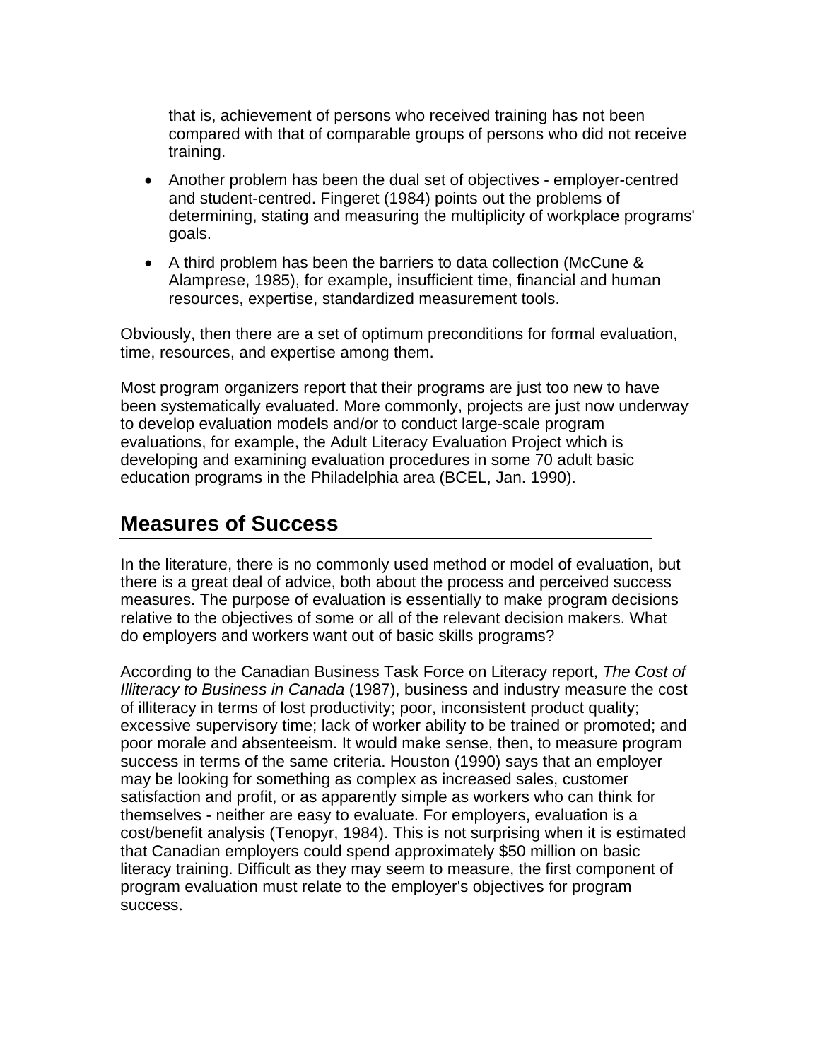<span id="page-40-0"></span>that is, achievement of persons who received training has not been compared with that of comparable groups of persons who did not receive training.

- Another problem has been the dual set of objectives employer-centred and student-centred. Fingeret (1984) points out the problems of determining, stating and measuring the multiplicity of workplace programs' goals.
- A third problem has been the barriers to data collection (McCune & Alamprese, 1985), for example, insufficient time, financial and human resources, expertise, standardized measurement tools.

Obviously, then there are a set of optimum preconditions for formal evaluation, time, resources, and expertise among them.

Most program organizers report that their programs are just too new to have been systematically evaluated. More commonly, projects are just now underway to develop evaluation models and/or to conduct large-scale program evaluations, for example, the Adult Literacy Evaluation Project which is developing and examining evaluation procedures in some 70 adult basic education programs in the Philadelphia area (BCEL, Jan. 1990).

### **Measures of Success**

In the literature, there is no commonly used method or model of evaluation, but there is a great deal of advice, both about the process and perceived success measures. The purpose of evaluation is essentially to make program decisions relative to the objectives of some or all of the relevant decision makers. What do employers and workers want out of basic skills programs?

According to the Canadian Business Task Force on Literacy report, *The Cost of Illiteracy to Business in Canada* (1987), business and industry measure the cost of illiteracy in terms of lost productivity; poor, inconsistent product quality; excessive supervisory time; lack of worker ability to be trained or promoted; and poor morale and absenteeism. It would make sense, then, to measure program success in terms of the same criteria. Houston (1990) says that an employer may be looking for something as complex as increased sales, customer satisfaction and profit, or as apparently simple as workers who can think for themselves - neither are easy to evaluate. For employers, evaluation is a cost/benefit analysis (Tenopyr, 1984). This is not surprising when it is estimated that Canadian employers could spend approximately \$50 million on basic literacy training. Difficult as they may seem to measure, the first component of program evaluation must relate to the employer's objectives for program success.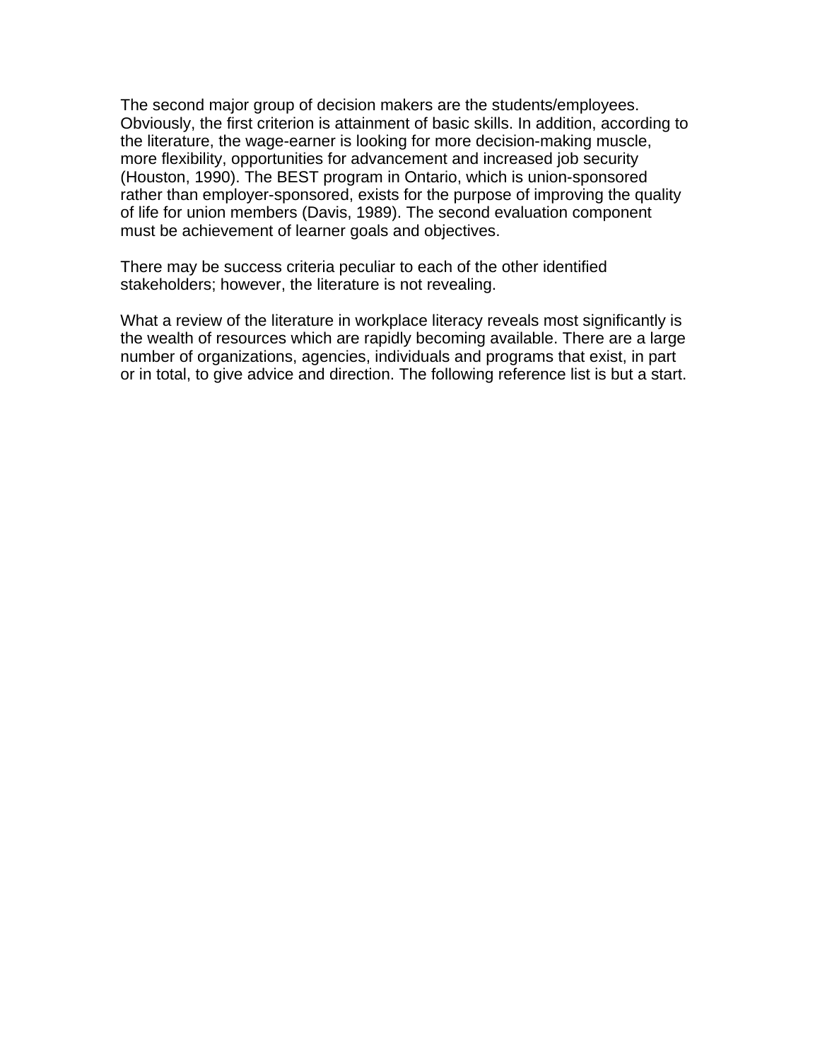The second major group of decision makers are the students/employees. Obviously, the first criterion is attainment of basic skills. In addition, according to the literature, the wage-earner is looking for more decision-making muscle, more flexibility, opportunities for advancement and increased job security (Houston, 1990). The BEST program in Ontario, which is union-sponsored rather than employer-sponsored, exists for the purpose of improving the quality of life for union members (Davis, 1989). The second evaluation component must be achievement of learner goals and objectives.

There may be success criteria peculiar to each of the other identified stakeholders; however, the literature is not revealing.

What a review of the literature in workplace literacy reveals most significantly is the wealth of resources which are rapidly becoming available. There are a large number of organizations, agencies, individuals and programs that exist, in part or in total, to give advice and direction. The following reference list is but a start.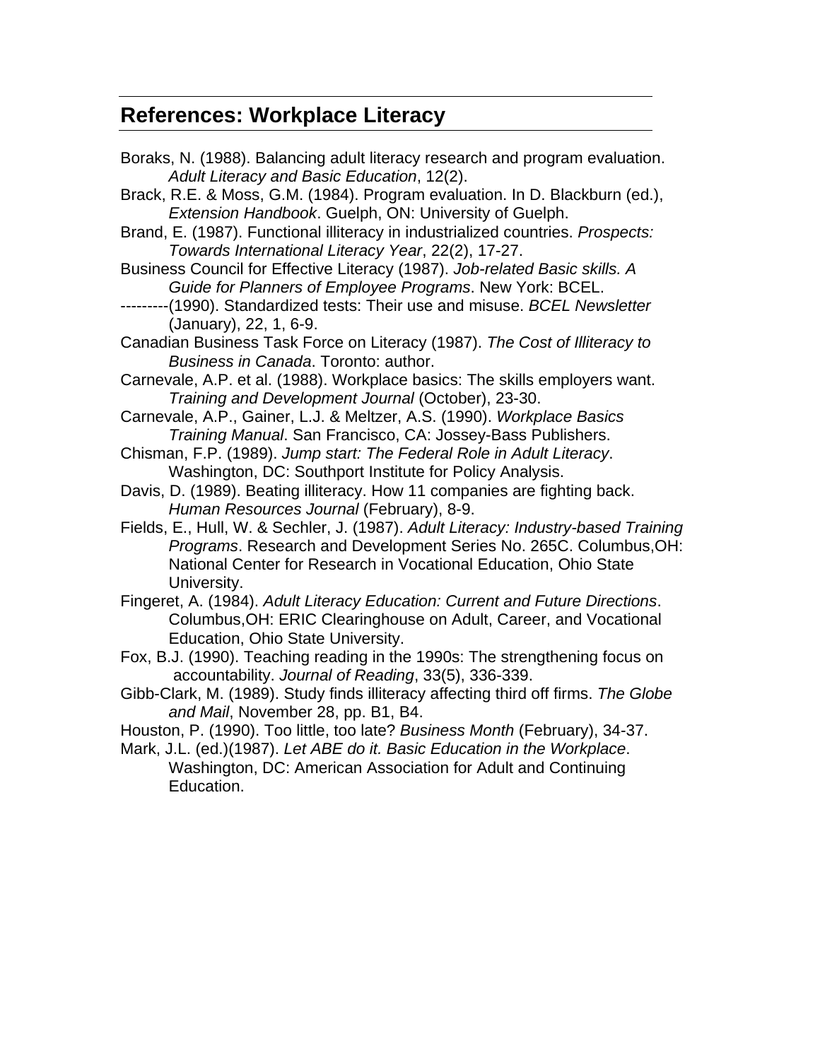### <span id="page-42-0"></span>**References: Workplace Literacy**

- Boraks, N. (1988). Balancing adult literacy research and program evaluation. *Adult Literacy and Basic Education*, 12(2).
- Brack, R.E. & Moss, G.M. (1984). Program evaluation. In D. Blackburn (ed.), *Extension Handbook*. Guelph, ON: University of Guelph.
- Brand, E. (1987). Functional illiteracy in industrialized countries. *Prospects: Towards International Literacy Year*, 22(2), 17-27.
- Business Council for Effective Literacy (1987). *Job-related Basic skills. A Guide for Planners of Employee Programs*. New York: BCEL.
- ---------(1990). Standardized tests: Their use and misuse. *BCEL Newsletter* (January), 22, 1, 6-9.
- Canadian Business Task Force on Literacy (1987). *The Cost of Illiteracy to Business in Canada*. Toronto: author.
- Carnevale, A.P. et al. (1988). Workplace basics: The skills employers want. *Training and Development Journal* (October), 23-30.
- Carnevale, A.P., Gainer, L.J. & Meltzer, A.S. (1990). *Workplace Basics Training Manual*. San Francisco, CA: Jossey-Bass Publishers.
- Chisman, F.P. (1989). *Jump start: The Federal Role in Adult Literacy*. Washington, DC: Southport Institute for Policy Analysis.
- Davis, D. (1989). Beating illiteracy. How 11 companies are fighting back. *Human Resources Journal* (February), 8-9.
- Fields, E., Hull, W. & Sechler, J. (1987). *Adult Literacy: Industry-based Training Programs*. Research and Development Series No. 265C. Columbus,OH: National Center for Research in Vocational Education, Ohio State University.
- Fingeret, A. (1984). *Adult Literacy Education: Current and Future Directions*. Columbus,OH: ERIC Clearinghouse on Adult, Career, and Vocational Education, Ohio State University.
- Fox, B.J. (1990). Teaching reading in the 1990s: The strengthening focus on accountability. *Journal of Reading*, 33(5), 336-339.
- Gibb-Clark, M. (1989). Study finds illiteracy affecting third off firms. *The Globe and Mail*, November 28, pp. B1, B4.
- Houston, P. (1990). Too little, too late? *Business Month* (February), 34-37.
- Mark, J.L. (ed.)(1987). *Let ABE do it. Basic Education in the Workplace*. Washington, DC: American Association for Adult and Continuing Education.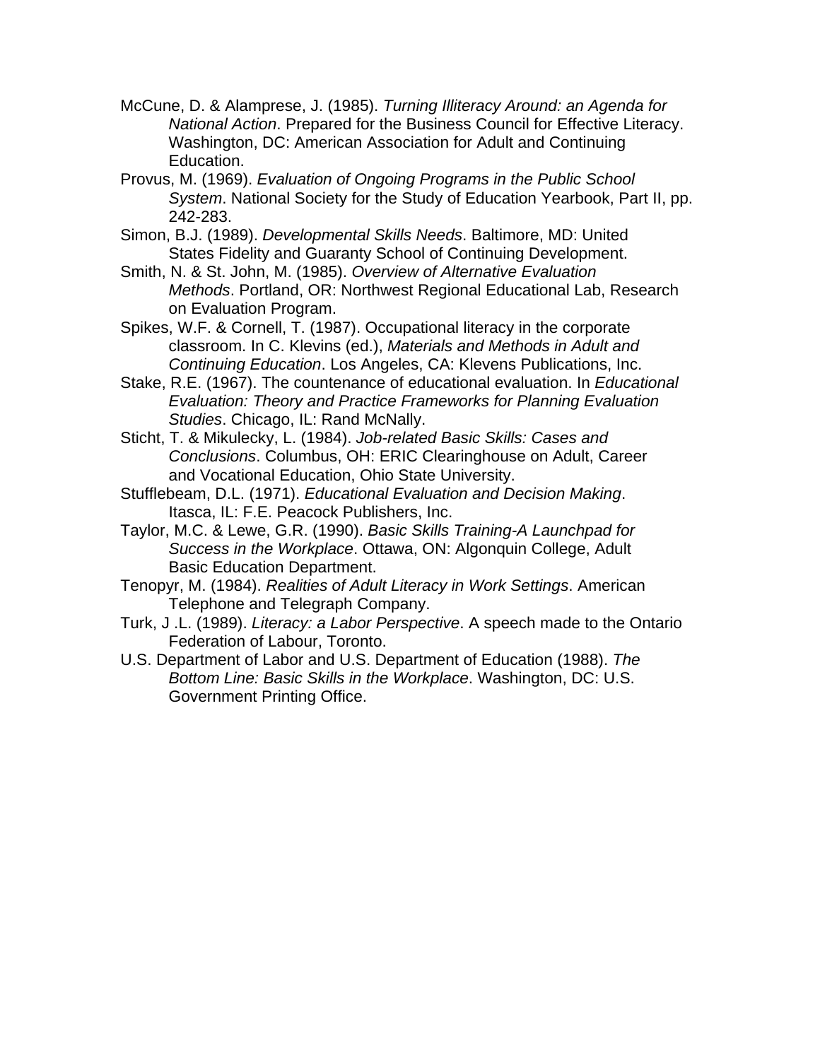- McCune, D. & Alamprese, J. (1985). *Turning Illiteracy Around: an Agenda for National Action*. Prepared for the Business Council for Effective Literacy. Washington, DC: American Association for Adult and Continuing Education.
- Provus, M. (1969). *Evaluation of Ongoing Programs in the Public School System*. National Society for the Study of Education Yearbook, Part II, pp. 242-283.
- Simon, B.J. (1989). *Developmental Skills Needs*. Baltimore, MD: United States Fidelity and Guaranty School of Continuing Development.
- Smith, N. & St. John, M. (1985). *Overview of Alternative Evaluation Methods*. Portland, OR: Northwest Regional Educational Lab, Research on Evaluation Program.
- Spikes, W.F. & Cornell, T. (1987). Occupational literacy in the corporate classroom. In C. Klevins (ed.), *Materials and Methods in Adult and Continuing Education*. Los Angeles, CA: Klevens Publications, Inc.
- Stake, R.E. (1967). The countenance of educational evaluation. In *Educational Evaluation: Theory and Practice Frameworks for Planning Evaluation Studies*. Chicago, IL: Rand McNally.
- Sticht, T. & Mikulecky, L. (1984). *Job-related Basic Skills: Cases and Conclusions*. Columbus, OH: ERIC Clearinghouse on Adult, Career and Vocational Education, Ohio State University.
- Stufflebeam, D.L. (1971). *Educational Evaluation and Decision Making*. Itasca, IL: F.E. Peacock Publishers, Inc.
- Taylor, M.C. & Lewe, G.R. (1990). *Basic Skills Training-A Launchpad for Success in the Workplace*. Ottawa, ON: Algonquin College, Adult Basic Education Department.
- Tenopyr, M. (1984). *Realities of Adult Literacy in Work Settings*. American Telephone and Telegraph Company.
- Turk, J .L. (1989). *Literacy: a Labor Perspective*. A speech made to the Ontario Federation of Labour, Toronto.
- U.S. Department of Labor and U.S. Department of Education (1988). *The Bottom Line: Basic Skills in the Workplace*. Washington, DC: U.S. Government Printing Office.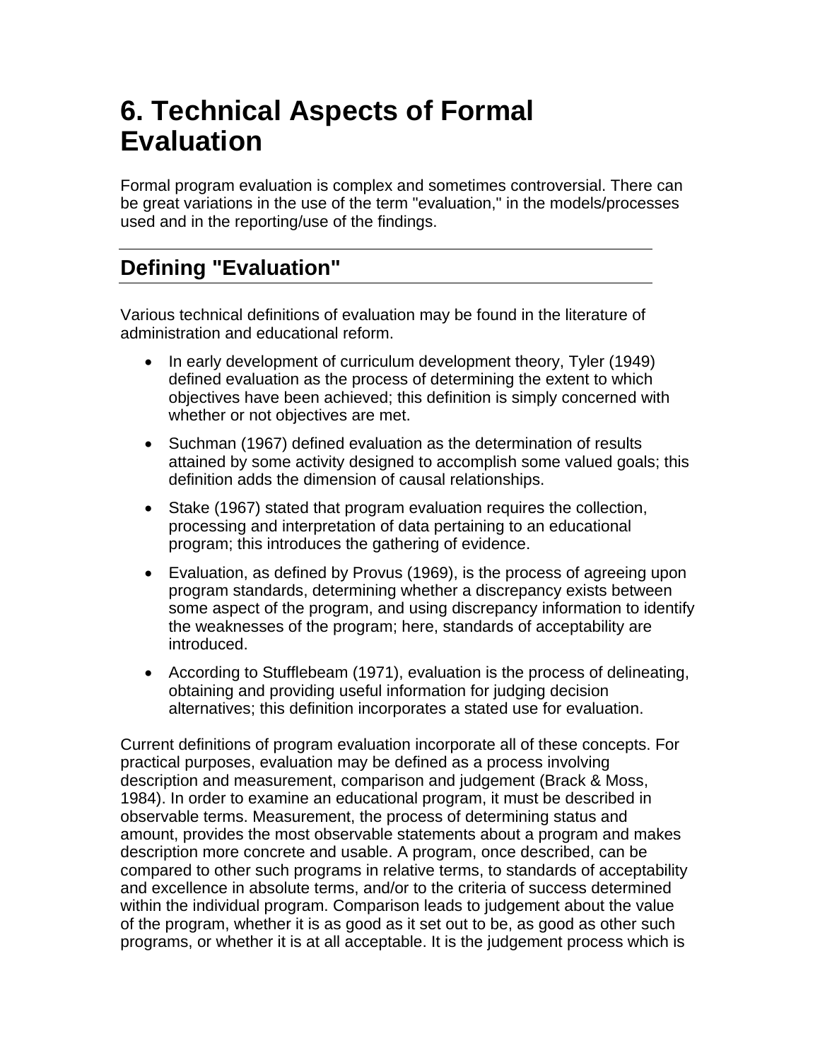# <span id="page-44-0"></span>**6. Technical Aspects of Formal Evaluation**

Formal program evaluation is complex and sometimes controversial. There can be great variations in the use of the term "evaluation," in the models/processes used and in the reporting/use of the findings.

# **Defining "Evaluation"**

Various technical definitions of evaluation may be found in the literature of administration and educational reform.

- In early development of curriculum development theory, Tyler (1949) defined evaluation as the process of determining the extent to which objectives have been achieved; this definition is simply concerned with whether or not objectives are met.
- Suchman (1967) defined evaluation as the determination of results attained by some activity designed to accomplish some valued goals; this definition adds the dimension of causal relationships.
- Stake (1967) stated that program evaluation requires the collection, processing and interpretation of data pertaining to an educational program; this introduces the gathering of evidence.
- Evaluation, as defined by Provus (1969), is the process of agreeing upon program standards, determining whether a discrepancy exists between some aspect of the program, and using discrepancy information to identify the weaknesses of the program; here, standards of acceptability are introduced.
- According to Stufflebeam (1971), evaluation is the process of delineating, obtaining and providing useful information for judging decision alternatives; this definition incorporates a stated use for evaluation.

Current definitions of program evaluation incorporate all of these concepts. For practical purposes, evaluation may be defined as a process involving description and measurement, comparison and judgement (Brack & Moss, 1984). In order to examine an educational program, it must be described in observable terms. Measurement, the process of determining status and amount, provides the most observable statements about a program and makes description more concrete and usable. A program, once described, can be compared to other such programs in relative terms, to standards of acceptability and excellence in absolute terms, and/or to the criteria of success determined within the individual program. Comparison leads to judgement about the value of the program, whether it is as good as it set out to be, as good as other such programs, or whether it is at all acceptable. It is the judgement process which is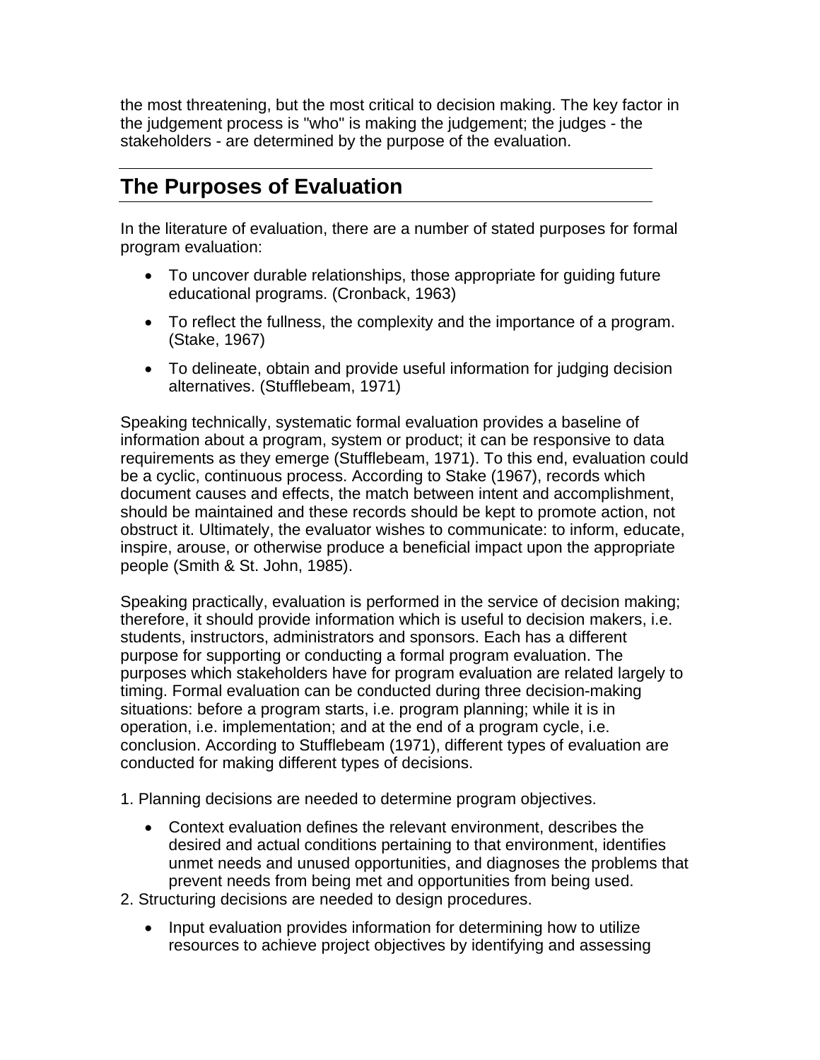<span id="page-45-0"></span>the most threatening, but the most critical to decision making. The key factor in the judgement process is "who" is making the judgement; the judges - the stakeholders - are determined by the purpose of the evaluation.

## **The Purposes of Evaluation**

In the literature of evaluation, there are a number of stated purposes for formal program evaluation:

- To uncover durable relationships, those appropriate for guiding future educational programs. (Cronback, 1963)
- To reflect the fullness, the complexity and the importance of a program. (Stake, 1967)
- To delineate, obtain and provide useful information for judging decision alternatives. (Stufflebeam, 1971)

Speaking technically, systematic formal evaluation provides a baseline of information about a program, system or product; it can be responsive to data requirements as they emerge (Stufflebeam, 1971). To this end, evaluation could be a cyclic, continuous process. According to Stake (1967), records which document causes and effects, the match between intent and accomplishment, should be maintained and these records should be kept to promote action, not obstruct it. Ultimately, the evaluator wishes to communicate: to inform, educate, inspire, arouse, or otherwise produce a beneficial impact upon the appropriate people (Smith & St. John, 1985).

Speaking practically, evaluation is performed in the service of decision making; therefore, it should provide information which is useful to decision makers, i.e. students, instructors, administrators and sponsors. Each has a different purpose for supporting or conducting a formal program evaluation. The purposes which stakeholders have for program evaluation are related largely to timing. Formal evaluation can be conducted during three decision-making situations: before a program starts, i.e. program planning; while it is in operation, i.e. implementation; and at the end of a program cycle, i.e. conclusion. According to Stufflebeam (1971), different types of evaluation are conducted for making different types of decisions.

1. Planning decisions are needed to determine program objectives.

- Context evaluation defines the relevant environment, describes the desired and actual conditions pertaining to that environment, identifies unmet needs and unused opportunities, and diagnoses the problems that prevent needs from being met and opportunities from being used.
- 2. Structuring decisions are needed to design procedures.
	- Input evaluation provides information for determining how to utilize resources to achieve project objectives by identifying and assessing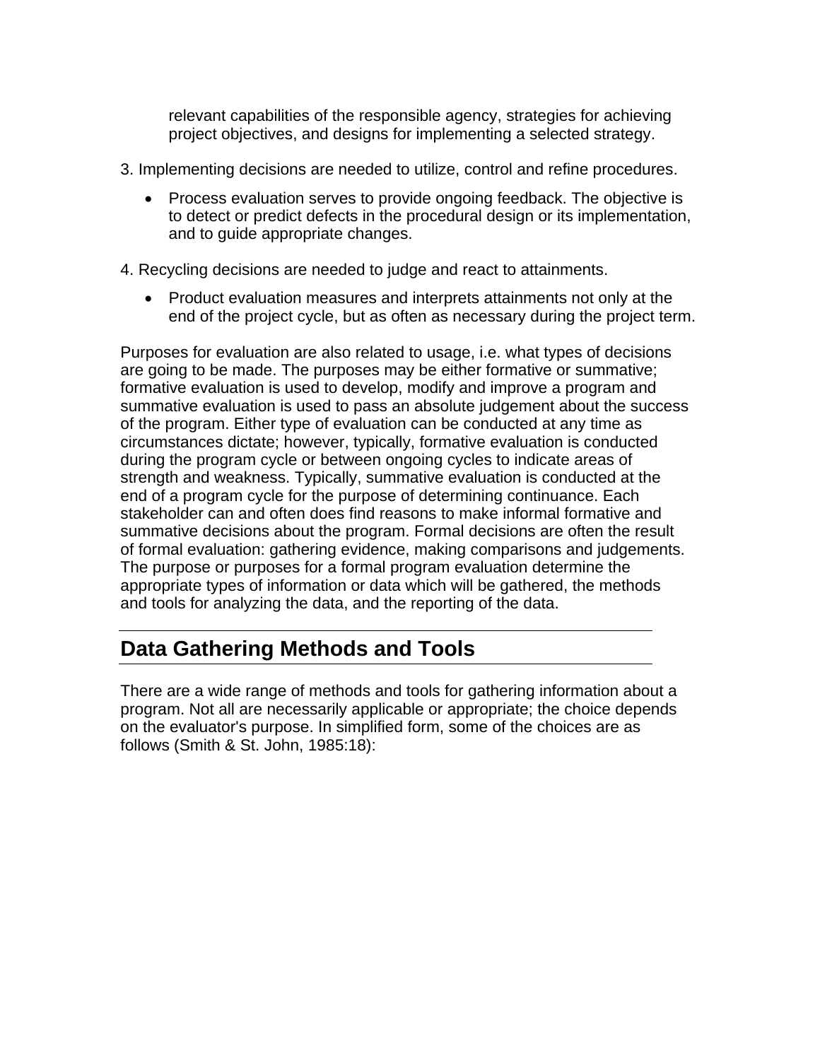<span id="page-46-0"></span>relevant capabilities of the responsible agency, strategies for achieving project objectives, and designs for implementing a selected strategy.

- 3. Implementing decisions are needed to utilize, control and refine procedures.
	- Process evaluation serves to provide ongoing feedback. The objective is to detect or predict defects in the procedural design or its implementation, and to guide appropriate changes.

4. Recycling decisions are needed to judge and react to attainments.

• Product evaluation measures and interprets attainments not only at the end of the project cycle, but as often as necessary during the project term.

Purposes for evaluation are also related to usage, i.e. what types of decisions are going to be made. The purposes may be either formative or summative; formative evaluation is used to develop, modify and improve a program and summative evaluation is used to pass an absolute judgement about the success of the program. Either type of evaluation can be conducted at any time as circumstances dictate; however, typically, formative evaluation is conducted during the program cycle or between ongoing cycles to indicate areas of strength and weakness. Typically, summative evaluation is conducted at the end of a program cycle for the purpose of determining continuance. Each stakeholder can and often does find reasons to make informal formative and summative decisions about the program. Formal decisions are often the result of formal evaluation: gathering evidence, making comparisons and judgements. The purpose or purposes for a formal program evaluation determine the appropriate types of information or data which will be gathered, the methods and tools for analyzing the data, and the reporting of the data.

### **Data Gathering Methods and Tools**

There are a wide range of methods and tools for gathering information about a program. Not all are necessarily applicable or appropriate; the choice depends on the evaluator's purpose. In simplified form, some of the choices are as follows (Smith & St. John, 1985:18):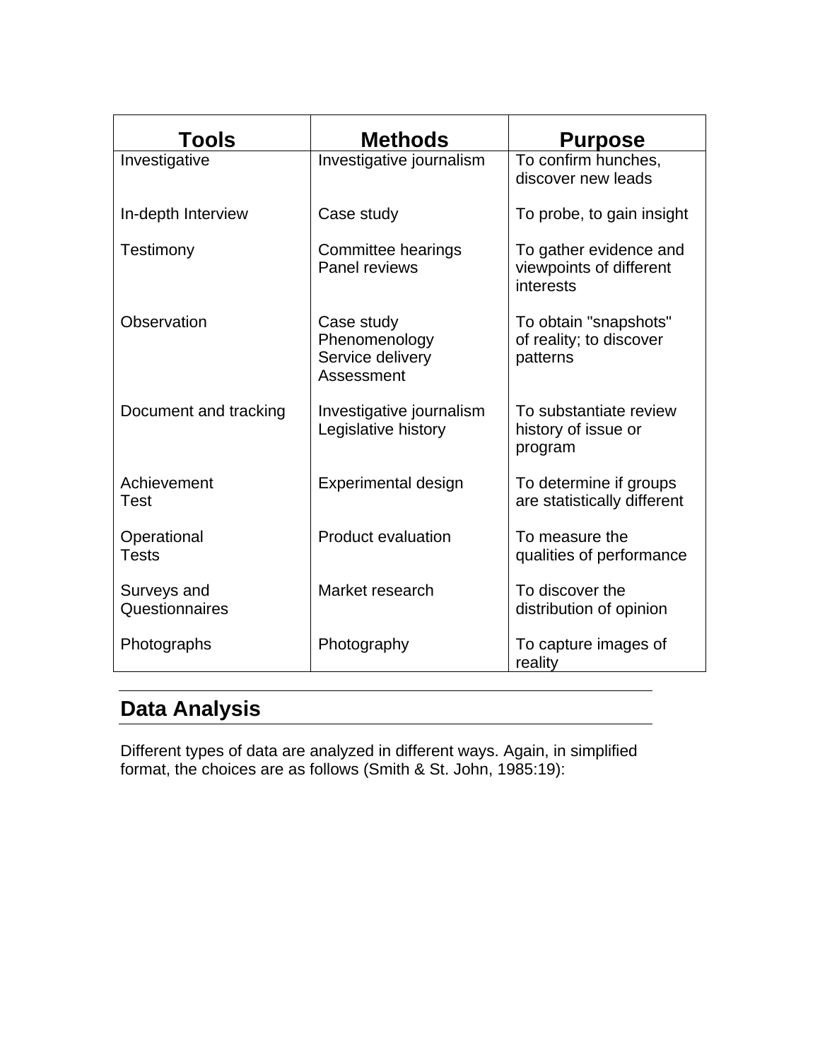<span id="page-47-0"></span>

| <b>Tools</b>                  | <b>Methods</b>                                                | <b>Purpose</b>                                                 |
|-------------------------------|---------------------------------------------------------------|----------------------------------------------------------------|
| Investigative                 | Investigative journalism                                      | To confirm hunches,<br>discover new leads                      |
| In-depth Interview            | Case study                                                    | To probe, to gain insight                                      |
| Testimony                     | Committee hearings<br>Panel reviews                           | To gather evidence and<br>viewpoints of different<br>interests |
| Observation                   | Case study<br>Phenomenology<br>Service delivery<br>Assessment | To obtain "snapshots"<br>of reality; to discover<br>patterns   |
| Document and tracking         | Investigative journalism<br>Legislative history               | To substantiate review<br>history of issue or<br>program       |
| Achievement<br>Test           | <b>Experimental design</b>                                    | To determine if groups<br>are statistically different          |
| Operational<br>Tests          | <b>Product evaluation</b>                                     | To measure the<br>qualities of performance                     |
| Surveys and<br>Questionnaires | Market research                                               | To discover the<br>distribution of opinion                     |
| Photographs                   | Photography                                                   | To capture images of<br>reality                                |

# **Data Analysis**

Different types of data are analyzed in different ways. Again, in simplified format, the choices are as follows (Smith & St. John, 1985:19):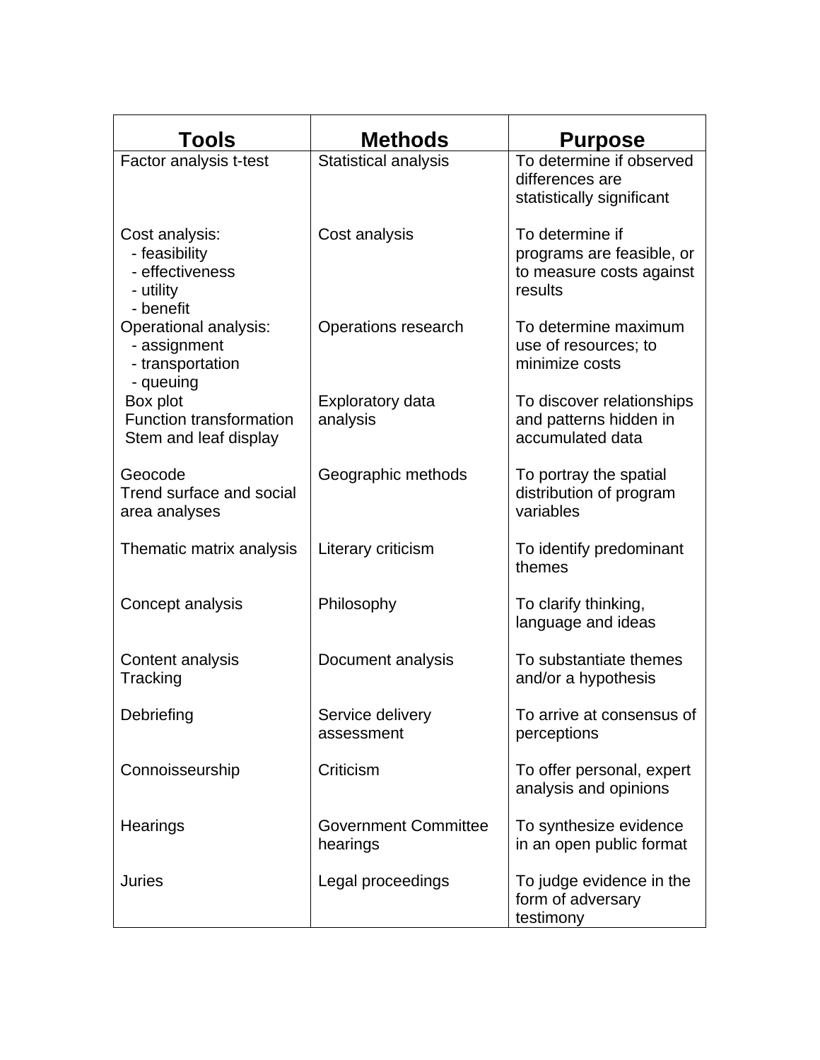| Tools                                                                        | <b>Methods</b>                          | <b>Purpose</b>                                                                      |
|------------------------------------------------------------------------------|-----------------------------------------|-------------------------------------------------------------------------------------|
| Factor analysis t-test                                                       | Statistical analysis                    | To determine if observed<br>differences are<br>statistically significant            |
| Cost analysis:<br>- feasibility<br>- effectiveness<br>- utility<br>- benefit | Cost analysis                           | To determine if<br>programs are feasible, or<br>to measure costs against<br>results |
| Operational analysis:<br>- assignment<br>- transportation<br>- queuing       | Operations research                     | To determine maximum<br>use of resources; to<br>minimize costs                      |
| Box plot<br><b>Function transformation</b><br>Stem and leaf display          | Exploratory data<br>analysis            | To discover relationships<br>and patterns hidden in<br>accumulated data             |
| Geocode<br>Trend surface and social<br>area analyses                         | Geographic methods                      | To portray the spatial<br>distribution of program<br>variables                      |
| Thematic matrix analysis                                                     | Literary criticism                      | To identify predominant<br>themes                                                   |
| Concept analysis                                                             | Philosophy                              | To clarify thinking,<br>language and ideas                                          |
| Content analysis<br>Tracking                                                 | Document analysis                       | To substantiate themes<br>and/or a hypothesis                                       |
| Debriefing                                                                   | Service delivery<br>assessment          | To arrive at consensus of<br>perceptions                                            |
| Connoisseurship                                                              | Criticism                               | To offer personal, expert<br>analysis and opinions                                  |
| Hearings                                                                     | <b>Government Committee</b><br>hearings | To synthesize evidence<br>in an open public format                                  |
| Juries                                                                       | Legal proceedings                       | To judge evidence in the<br>form of adversary<br>testimony                          |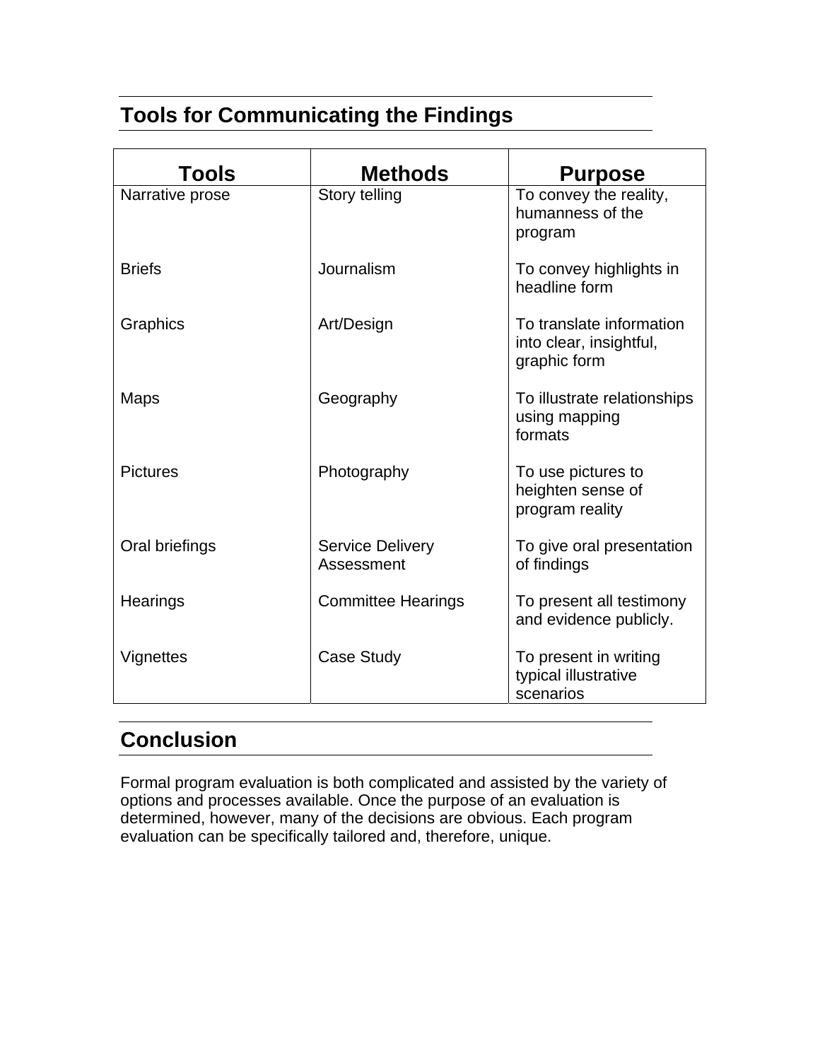# <span id="page-49-0"></span>**Tools for Communicating the Findings**

| <b>Tools</b>    | <b>Methods</b>                        | <b>Purpose</b>                                                      |
|-----------------|---------------------------------------|---------------------------------------------------------------------|
| Narrative prose | Story telling                         | To convey the reality,<br>humanness of the<br>program               |
| <b>Briefs</b>   | Journalism                            | To convey highlights in<br>headline form                            |
| Graphics        | Art/Design                            | To translate information<br>into clear, insightful,<br>graphic form |
| <b>Maps</b>     | Geography                             | To illustrate relationships<br>using mapping<br>formats             |
| <b>Pictures</b> | Photography                           | To use pictures to<br>heighten sense of<br>program reality          |
| Oral briefings  | <b>Service Delivery</b><br>Assessment | To give oral presentation<br>of findings                            |
| Hearings        | <b>Committee Hearings</b>             | To present all testimony<br>and evidence publicly.                  |
| Vignettes       | <b>Case Study</b>                     | To present in writing<br>typical illustrative<br>scenarios          |

# **Conclusion**

Formal program evaluation is both complicated and assisted by the variety of options and processes available. Once the purpose of an evaluation is determined, however, many of the decisions are obvious. Each program evaluation can be specifically tailored and, therefore, unique.